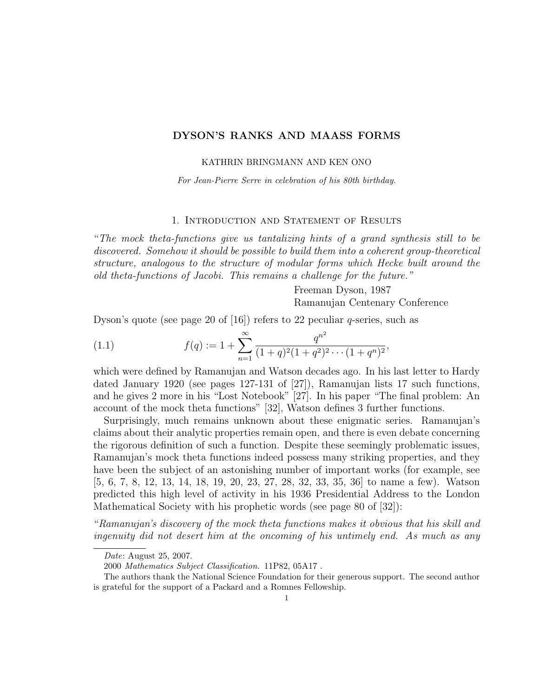# DYSON'S RANKS AND MAASS FORMS

KATHRIN BRINGMANN AND KEN ONO

For Jean-Pierre Serre in celebration of his 80th birthday.

# 1. Introduction and Statement of Results

"The mock theta-functions give us tantalizing hints of a grand synthesis still to be discovered. Somehow it should be possible to build them into a coherent group-theoretical structure, analogous to the structure of modular forms which Hecke built around the old theta-functions of Jacobi. This remains a challenge for the future."

> Freeman Dyson, 1987 Ramanujan Centenary Conference

Dyson's quote (see page 20 of [16]) refers to 22 peculiar  $q$ -series, such as

(1.1) 
$$
f(q) := 1 + \sum_{n=1}^{\infty} \frac{q^{n^2}}{(1+q)^2(1+q^2)^2 \cdots (1+q^n)^2},
$$

which were defined by Ramanujan and Watson decades ago. In his last letter to Hardy dated January 1920 (see pages 127-131 of [27]), Ramanujan lists 17 such functions, and he gives 2 more in his "Lost Notebook" [27]. In his paper "The final problem: An account of the mock theta functions" [32], Watson defines 3 further functions.

Surprisingly, much remains unknown about these enigmatic series. Ramanujan's claims about their analytic properties remain open, and there is even debate concerning the rigorous definition of such a function. Despite these seemingly problematic issues, Ramanujan's mock theta functions indeed possess many striking properties, and they have been the subject of an astonishing number of important works (for example, see [5, 6, 7, 8, 12, 13, 14, 18, 19, 20, 23, 27, 28, 32, 33, 35, 36] to name a few). Watson predicted this high level of activity in his 1936 Presidential Address to the London Mathematical Society with his prophetic words (see page 80 of [32]):

"Ramanujan's discovery of the mock theta functions makes it obvious that his skill and ingenuity did not desert him at the oncoming of his untimely end. As much as any

Date: August 25, 2007.

<sup>2000</sup> Mathematics Subject Classification. 11P82, 05A17 .

The authors thank the National Science Foundation for their generous support. The second author is grateful for the support of a Packard and a Romnes Fellowship.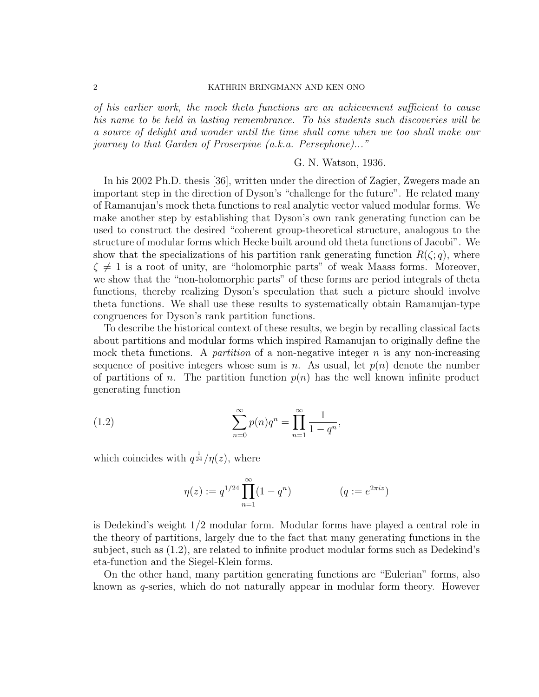# 2 KATHRIN BRINGMANN AND KEN ONO

of his earlier work, the mock theta functions are an achievement sufficient to cause his name to be held in lasting remembrance. To his students such discoveries will be a source of delight and wonder until the time shall come when we too shall make our journey to that Garden of Proserpine (a.k.a. Persephone)..."

## G. N. Watson, 1936.

In his 2002 Ph.D. thesis [36], written under the direction of Zagier, Zwegers made an important step in the direction of Dyson's "challenge for the future". He related many of Ramanujan's mock theta functions to real analytic vector valued modular forms. We make another step by establishing that Dyson's own rank generating function can be used to construct the desired "coherent group-theoretical structure, analogous to the structure of modular forms which Hecke built around old theta functions of Jacobi". We show that the specializations of his partition rank generating function  $R(\zeta; q)$ , where  $\zeta \neq 1$  is a root of unity, are "holomorphic parts" of weak Maass forms. Moreover, we show that the "non-holomorphic parts" of these forms are period integrals of theta functions, thereby realizing Dyson's speculation that such a picture should involve theta functions. We shall use these results to systematically obtain Ramanujan-type congruences for Dyson's rank partition functions.

To describe the historical context of these results, we begin by recalling classical facts about partitions and modular forms which inspired Ramanujan to originally define the mock theta functions. A *partition* of a non-negative integer  $n$  is any non-increasing sequence of positive integers whose sum is n. As usual, let  $p(n)$  denote the number of partitions of n. The partition function  $p(n)$  has the well known infinite product generating function

(1.2) 
$$
\sum_{n=0}^{\infty} p(n)q^n = \prod_{n=1}^{\infty} \frac{1}{1-q^n},
$$

which coincides with  $q^{\frac{1}{24}}/\eta(z)$ , where

$$
\eta(z) := q^{1/24} \prod_{n=1}^{\infty} (1 - q^n) \qquad (q := e^{2\pi i z})
$$

is Dedekind's weight 1/2 modular form. Modular forms have played a central role in the theory of partitions, largely due to the fact that many generating functions in the subject, such as (1.2), are related to infinite product modular forms such as Dedekind's eta-function and the Siegel-Klein forms.

On the other hand, many partition generating functions are "Eulerian" forms, also known as q-series, which do not naturally appear in modular form theory. However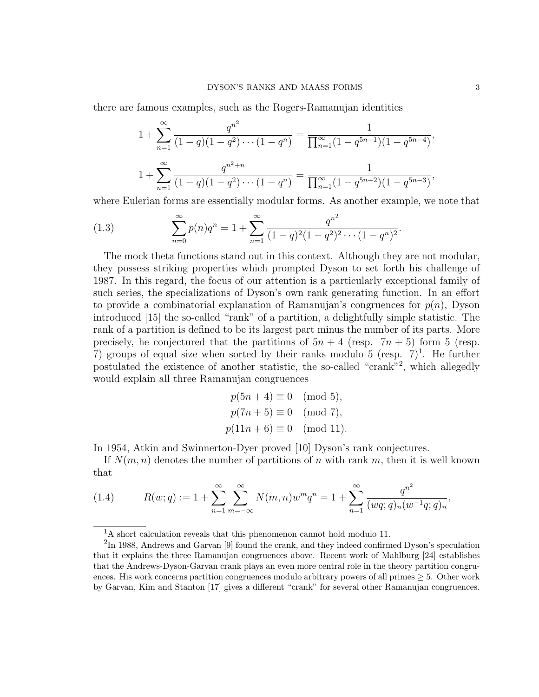there are famous examples, such as the Rogers-Ramanujan identities

$$
1 + \sum_{n=1}^{\infty} \frac{q^{n^2}}{(1-q)(1-q^2)\cdots(1-q^n)} = \frac{1}{\prod_{n=1}^{\infty} (1-q^{5n-1})(1-q^{5n-4})},
$$
  

$$
1 + \sum_{n=1}^{\infty} \frac{q^{n^2+n}}{(1-q)(1-q^2)\cdots(1-q^n)} = \frac{1}{\prod_{n=1}^{\infty} (1-q^{5n-2})(1-q^{5n-3})},
$$

where Eulerian forms are essentially modular forms. As another example, we note that

(1.3) 
$$
\sum_{n=0}^{\infty} p(n)q^n = 1 + \sum_{n=1}^{\infty} \frac{q^{n^2}}{(1-q)^2(1-q^2)^2 \cdots (1-q^n)^2}.
$$

The mock theta functions stand out in this context. Although they are not modular, they possess striking properties which prompted Dyson to set forth his challenge of 1987. In this regard, the focus of our attention is a particularly exceptional family of such series, the specializations of Dyson's own rank generating function. In an effort to provide a combinatorial explanation of Ramanujan's congruences for  $p(n)$ , Dyson introduced [15] the so-called "rank" of a partition, a delightfully simple statistic. The rank of a partition is defined to be its largest part minus the number of its parts. More precisely, he conjectured that the partitions of  $5n + 4$  (resp.  $7n + 5$ ) form 5 (resp. 7) groups of equal size when sorted by their ranks modulo 5 (resp.  $7)^1$ . He further postulated the existence of another statistic, the so-called "crank"<sup>2</sup> , which allegedly would explain all three Ramanujan congruences

$$
p(5n + 4) \equiv 0 \pmod{5},
$$
  
\n $p(7n + 5) \equiv 0 \pmod{7},$   
\n $p(11n + 6) \equiv 0 \pmod{11}.$ 

In 1954, Atkin and Swinnerton-Dyer proved [10] Dyson's rank conjectures.

If  $N(m, n)$  denotes the number of partitions of n with rank m, then it is well known that

(1.4) 
$$
R(w;q) := 1 + \sum_{n=1}^{\infty} \sum_{m=-\infty}^{\infty} N(m,n)w^m q^n = 1 + \sum_{n=1}^{\infty} \frac{q^{n^2}}{(wq;q)_n (w^{-1}q;q)_n},
$$

<sup>&</sup>lt;sup>1</sup>A short calculation reveals that this phenomenon cannot hold modulo 11.

 ${}^{2}\text{In}$  1988, Andrews and Garvan [9] found the crank, and they indeed confirmed Dyson's speculation that it explains the three Ramanujan congruences above. Recent work of Mahlburg [24] establishes that the Andrews-Dyson-Garvan crank plays an even more central role in the theory partition congruences. His work concerns partition congruences modulo arbitrary powers of all primes  $\geq 5$ . Other work by Garvan, Kim and Stanton [17] gives a different "crank" for several other Ramanujan congruences.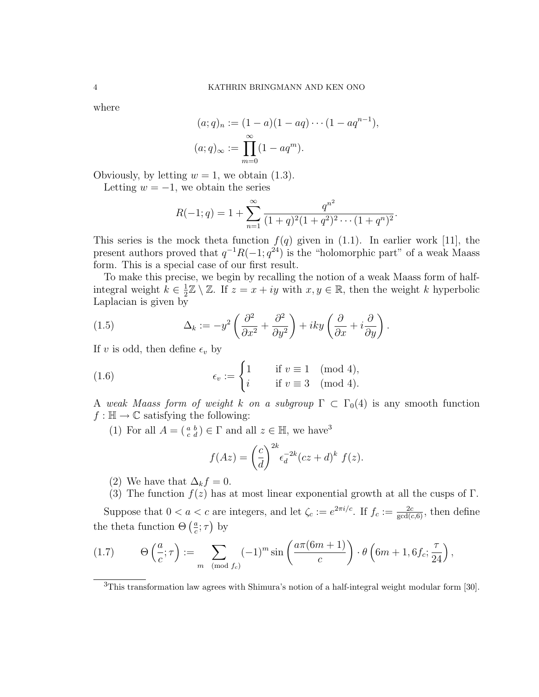where

$$
(a;q)_n := (1-a)(1-aq)\cdots(1-aq^{n-1}),
$$
  

$$
(a;q)_{\infty} := \prod_{m=0}^{\infty} (1-aq^m).
$$

Obviously, by letting  $w = 1$ , we obtain  $(1.3)$ .

Letting  $w = -1$ , we obtain the series

$$
R(-1;q) = 1 + \sum_{n=1}^{\infty} \frac{q^{n^2}}{(1+q)^2(1+q^2)^2 \cdots (1+q^n)^2}.
$$

This series is the mock theta function  $f(q)$  given in (1.1). In earlier work [11], the present authors proved that  $q^{-1}R(-1; q^{24})$  is the "holomorphic part" of a weak Maass form. This is a special case of our first result.

To make this precise, we begin by recalling the notion of a weak Maass form of halfintegral weight  $k \in \frac{1}{2}$  $\frac{1}{2}\mathbb{Z} \setminus \mathbb{Z}$ . If  $z = x + iy$  with  $x, y \in \mathbb{R}$ , then the weight k hyperbolic Laplacian is given by

(1.5) 
$$
\Delta_k := -y^2 \left( \frac{\partial^2}{\partial x^2} + \frac{\partial^2}{\partial y^2} \right) + iky \left( \frac{\partial}{\partial x} + i \frac{\partial}{\partial y} \right).
$$

If v is odd, then define  $\epsilon_v$  by

(1.6) 
$$
\epsilon_v := \begin{cases} 1 & \text{if } v \equiv 1 \pmod{4}, \\ i & \text{if } v \equiv 3 \pmod{4}. \end{cases}
$$

A weak Maass form of weight k on a subgroup  $\Gamma \subset \Gamma_0(4)$  is any smooth function  $f : \mathbb{H} \to \mathbb{C}$  satisfying the following:

(1) For all  $A = \begin{pmatrix} a & b \\ c & d \end{pmatrix} \in \Gamma$  and all  $z \in \mathbb{H}$ , we have<sup>3</sup>

$$
f(Az) = \left(\frac{c}{d}\right)^{2k} \epsilon_d^{-2k} (cz+d)^k f(z).
$$

- (2) We have that  $\Delta_k f = 0$ .
- (3) The function  $f(z)$  has at most linear exponential growth at all the cusps of Γ.

Suppose that  $0 < a < c$  are integers, and let  $\zeta_c := e^{2\pi i/c}$ . If  $f_c := \frac{2c}{\gcd(c, 6)}$ , then define the theta function  $\Theta\left(\frac{a}{c}\right)$  $\frac{a}{c}$ ;  $\tau$ ) by

(1.7) 
$$
\Theta\left(\frac{a}{c};\tau\right) := \sum_{m \pmod{f_c}} (-1)^m \sin\left(\frac{a\pi(6m+1)}{c}\right) \cdot \theta\left(6m+1,6f_c;\frac{\tau}{24}\right),
$$

<sup>3</sup>This transformation law agrees with Shimura's notion of a half-integral weight modular form [30].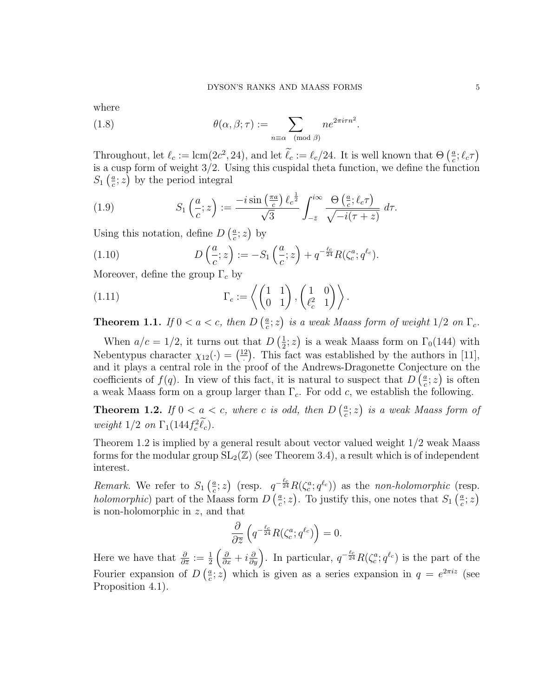where

(1.8) 
$$
\theta(\alpha, \beta; \tau) := \sum_{n \equiv \alpha \pmod{\beta}} n e^{2\pi i \tau n^2}.
$$

Throughout, let  $\ell_c := \text{lcm}(2c^2, 24)$ , and let  $\ell_c := \ell_c/24$ . It is well known that  $\Theta\left(\frac{a}{c}\right)$  $\frac{a}{c}$ ;  $\ell_c \tau$ ) is a cusp form of weight 3/2. Using this cuspidal theta function, we define the function  $S_1\left(\frac{a}{c}\right)$  $(\frac{a}{c}; z)$  by the period integral

(1.9) 
$$
S_1\left(\frac{a}{c};z\right) := \frac{-i\sin\left(\frac{\pi a}{c}\right)\ell_c^{\frac{1}{2}}}{\sqrt{3}}\int_{-\bar{z}}^{i\infty}\frac{\Theta\left(\frac{a}{c};\ell_c\tau\right)}{\sqrt{-i(\tau+z)}} d\tau.
$$

Using this notation, define  $D\left(\frac{a}{c}\right)$  $\frac{a}{c}$ ; z) by

(1.10) 
$$
D\left(\frac{a}{c}; z\right) := -S_1\left(\frac{a}{c}; z\right) + q^{-\frac{\ell_c}{24}} R(\zeta_c^a; q^{\ell_c}).
$$

Moreover, define the group  $\Gamma_c$  by

(1.11) 
$$
\Gamma_c := \left\langle \begin{pmatrix} 1 & 1 \\ 0 & 1 \end{pmatrix}, \begin{pmatrix} 1 & 0 \\ \ell_c^2 & 1 \end{pmatrix} \right\rangle.
$$

**Theorem 1.1.** If  $0 < a < c$ , then  $D\left(\frac{a}{c}\right)$  $(\frac{a}{c}; z)$  is a weak Maass form of weight  $1/2$  on  $\Gamma_c$ .

When  $a/c = 1/2$ , it turns out that  $D\left(\frac{1}{2}\right)$  $(\frac{1}{2}; z)$  is a weak Maass form on  $\Gamma_0(144)$  with Nebentypus character  $\chi_{12}(\cdot) = \left(\frac{12}{1}\right)$  $\frac{2}{2}$ . This fact was established by the authors in [11], and it plays a central role in the proof of the Andrews-Dragonette Conjecture on the coefficients of  $f(q)$ . In view of this fact, it is natural to suspect that  $D\left(\frac{a}{q}\right)$  $\frac{a}{c}$ ; *z*) is often a weak Maass form on a group larger than  $\Gamma_c$ . For odd c, we establish the following.

**Theorem 1.2.** If  $0 < a < c$ , where c is odd, then  $D\left(\frac{a}{c}\right)$  $\left(\frac{a}{c}; z \right)$  is a weak Maass form of weight  $1/2$  on  $\Gamma_1(144f_c^2\ell_c)$ .

Theorem 1.2 is implied by a general result about vector valued weight 1/2 weak Maass forms for the modular group  $SL_2(\mathbb{Z})$  (see Theorem 3.4), a result which is of independent interest.

*Remark.* We refer to  $S_1\left(\frac{a}{c}\right)$  $(\frac{a}{c}; z)$  (resp.  $q^{-\frac{\ell_c}{24}}R(\zeta_c^a; q^{\ell_c})$ ) as the non-holomorphic (resp. holomorphic) part of the Maass form  $D\left(\frac{a}{c}\right)$  $(\frac{a}{c}; z)$ . To justify this, one notes that  $S_1\left(\frac{a}{c}\right)$  $\frac{a}{c};z\big)$ is non-holomorphic in z, and that

$$
\frac{\partial}{\partial \overline{z}}\left(q^{-\frac{\ell_c}{24}}R(\zeta_c^a;q^{\ell_c})\right) = 0.
$$

Here we have that  $\frac{\partial}{\partial \overline{z}} := \frac{1}{2} \left( \frac{\partial}{\partial x} + i \frac{\partial}{\partial y} \right)$ . In particular,  $q^{-\frac{\ell_c}{24}} R(\zeta_c^a; q^{\ell_c})$  is the part of the Fourier expansion of  $D\left(\frac{a}{c}\right)$  $(\frac{a}{c}; z)$  which is given as a series expansion in  $q = e^{2\pi i z}$  (see Proposition 4.1).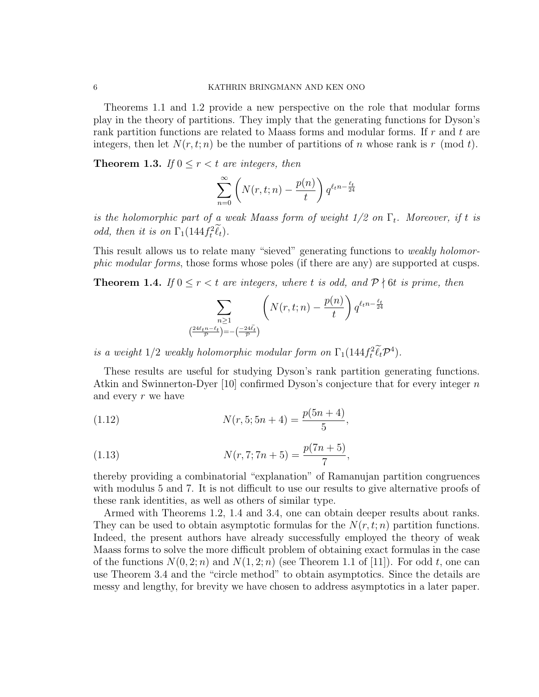Theorems 1.1 and 1.2 provide a new perspective on the role that modular forms play in the theory of partitions. They imply that the generating functions for Dyson's rank partition functions are related to Maass forms and modular forms. If  $r$  and  $t$  are integers, then let  $N(r, t; n)$  be the number of partitions of n whose rank is r (mod t).

**Theorem 1.3.** If  $0 \leq r < t$  are integers, then

$$
\sum_{n=0}^{\infty} \left( N(r, t; n) - \frac{p(n)}{t} \right) q^{\ell_t n - \frac{\ell_t}{24}}
$$

is the holomorphic part of a weak Maass form of weight  $1/2$  on  $\Gamma_t$ . Moreover, if t is odd, then it is on  $\Gamma_1(144 f_t^2 \ell_t)$ .

This result allows us to relate many "sieved" generating functions to *weakly holomor*phic modular forms, those forms whose poles (if there are any) are supported at cusps.

**Theorem 1.4.** If  $0 \le r < t$  are integers, where t is odd, and  $P \nmid 6t$  is prime, then

$$
\sum_{\substack{n\geq 1\\ \left(\frac{24\ell_t n-\ell_t}{\mathcal{P}}\right)=-\left(\frac{-24\tilde{\ell}_t}{\mathcal{P}}\right)}} \left(N(r,t;n)-\frac{p(n)}{t}\right) q^{\ell_t n-\frac{\ell_t}{24}}
$$

is a weight  $1/2$  weakly holomorphic modular form on  $\Gamma_1(144f_t^2\ell_t\mathcal{P}^4)$ .

These results are useful for studying Dyson's rank partition generating functions. Atkin and Swinnerton-Dyer [10] confirmed Dyson's conjecture that for every integer n and every r we have

(1.12) 
$$
N(r, 5; 5n + 4) = \frac{p(5n + 4)}{5},
$$

(1.13) 
$$
N(r, 7; 7n + 5) = \frac{p(7n + 5)}{7},
$$

thereby providing a combinatorial "explanation" of Ramanujan partition congruences with modulus 5 and 7. It is not difficult to use our results to give alternative proofs of these rank identities, as well as others of similar type.

Armed with Theorems 1.2, 1.4 and 3.4, one can obtain deeper results about ranks. They can be used to obtain asymptotic formulas for the  $N(r, t; n)$  partition functions. Indeed, the present authors have already successfully employed the theory of weak Maass forms to solve the more difficult problem of obtaining exact formulas in the case of the functions  $N(0, 2; n)$  and  $N(1, 2; n)$  (see Theorem 1.1 of [11]). For odd t, one can use Theorem 3.4 and the "circle method" to obtain asymptotics. Since the details are messy and lengthy, for brevity we have chosen to address asymptotics in a later paper.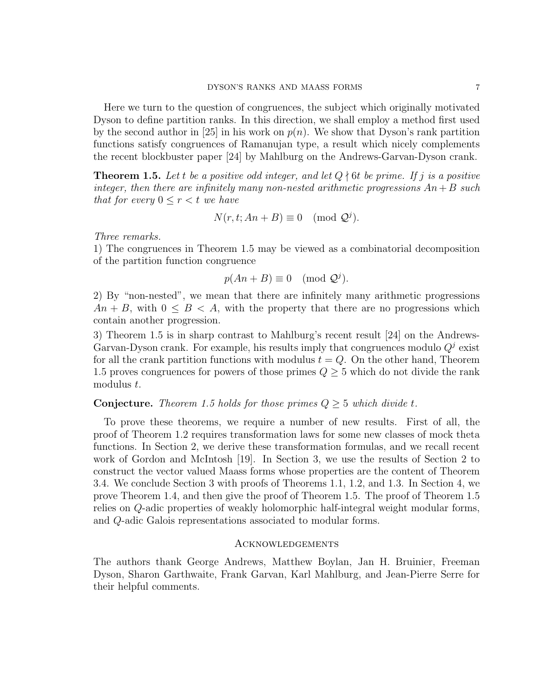Here we turn to the question of congruences, the subject which originally motivated Dyson to define partition ranks. In this direction, we shall employ a method first used by the second author in [25] in his work on  $p(n)$ . We show that Dyson's rank partition functions satisfy congruences of Ramanujan type, a result which nicely complements the recent blockbuster paper [24] by Mahlburg on the Andrews-Garvan-Dyson crank.

**Theorem 1.5.** Let t be a positive odd integer, and let  $Q \nmid 6t$  be prime. If j is a positive integer, then there are infinitely many non-nested arithmetic progressions  $An+B$  such that for every  $0 \leq r < t$  we have

$$
N(r, t; An + B) \equiv 0 \pmod{\mathcal{Q}^j}.
$$

Three remarks.

1) The congruences in Theorem 1.5 may be viewed as a combinatorial decomposition of the partition function congruence

$$
p(An + B) \equiv 0 \pmod{Q^j}.
$$

2) By "non-nested", we mean that there are infinitely many arithmetic progressions  $An + B$ , with  $0 \leq B \leq A$ , with the property that there are no progressions which contain another progression.

3) Theorem 1.5 is in sharp contrast to Mahlburg's recent result [24] on the Andrews-Garvan-Dyson crank. For example, his results imply that congruences modulo  $Q<sup>j</sup>$  exist for all the crank partition functions with modulus  $t = Q$ . On the other hand, Theorem 1.5 proves congruences for powers of those primes  $Q \geq 5$  which do not divide the rank modulus t.

# **Conjecture.** Theorem 1.5 holds for those primes  $Q \geq 5$  which divide t.

To prove these theorems, we require a number of new results. First of all, the proof of Theorem 1.2 requires transformation laws for some new classes of mock theta functions. In Section 2, we derive these transformation formulas, and we recall recent work of Gordon and McIntosh [19]. In Section 3, we use the results of Section 2 to construct the vector valued Maass forms whose properties are the content of Theorem 3.4. We conclude Section 3 with proofs of Theorems 1.1, 1.2, and 1.3. In Section 4, we prove Theorem 1.4, and then give the proof of Theorem 1.5. The proof of Theorem 1.5 relies on Q-adic properties of weakly holomorphic half-integral weight modular forms, and Q-adic Galois representations associated to modular forms.

# Acknowledgements

The authors thank George Andrews, Matthew Boylan, Jan H. Bruinier, Freeman Dyson, Sharon Garthwaite, Frank Garvan, Karl Mahlburg, and Jean-Pierre Serre for their helpful comments.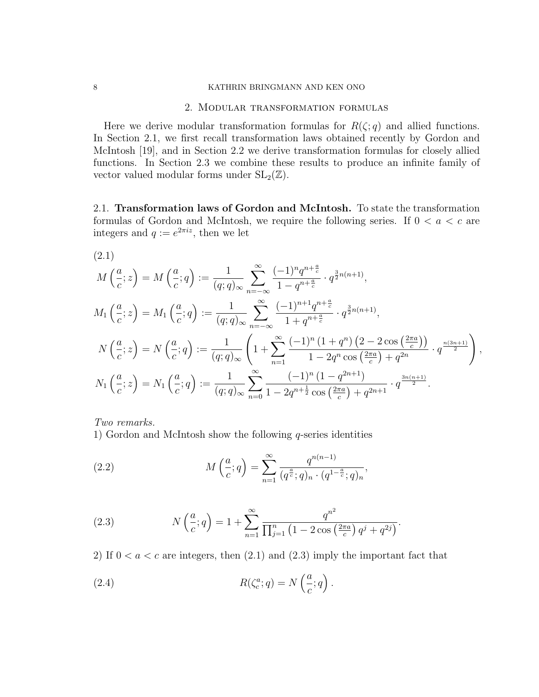# 8 KATHRIN BRINGMANN AND KEN ONO

## 2. Modular transformation formulas

Here we derive modular transformation formulas for  $R(\zeta; q)$  and allied functions. In Section 2.1, we first recall transformation laws obtained recently by Gordon and McIntosh [19], and in Section 2.2 we derive transformation formulas for closely allied functions. In Section 2.3 we combine these results to produce an infinite family of vector valued modular forms under  $SL_2(\mathbb{Z})$ .

2.1. Transformation laws of Gordon and McIntosh. To state the transformation formulas of Gordon and McIntosh, we require the following series. If  $0 < a < c$  are integers and  $q := e^{2\pi i z}$ , then we let

$$
(2.1)
$$

$$
M\left(\frac{a}{c};z\right) = M\left(\frac{a}{c};q\right) := \frac{1}{(q;q)_{\infty}} \sum_{n=-\infty}^{\infty} \frac{(-1)^n q^{n+\frac{a}{c}}}{1-q^{n+\frac{a}{c}}} \cdot q^{\frac{3}{2}n(n+1)},
$$
  
\n
$$
M_1\left(\frac{a}{c};z\right) = M_1\left(\frac{a}{c};q\right) := \frac{1}{(q;q)_{\infty}} \sum_{n=-\infty}^{\infty} \frac{(-1)^{n+1} q^{n+\frac{a}{c}}}{1+q^{n+\frac{a}{c}}} \cdot q^{\frac{3}{2}n(n+1)},
$$
  
\n
$$
N\left(\frac{a}{c};z\right) = N\left(\frac{a}{c};q\right) := \frac{1}{(q;q)_{\infty}} \left(1+\sum_{n=1}^{\infty} \frac{(-1)^n (1+q^n) (2-2 \cos\left(\frac{2\pi a}{c}\right))}{1-2q^n \cos\left(\frac{2\pi a}{c}\right)+q^{2n}} \cdot q^{\frac{n(3n+1)}{2}}\right),
$$
  
\n
$$
N_1\left(\frac{a}{c};z\right) = N_1\left(\frac{a}{c};q\right) := \frac{1}{(q;q)_{\infty}} \sum_{n=0}^{\infty} \frac{(-1)^n (1-q^{2n+1})}{1-2q^{n+\frac{1}{2}} \cos\left(\frac{2\pi a}{c}\right)+q^{2n+1}} \cdot q^{\frac{3n(n+1)}{2}}.
$$

Two remarks.

1) Gordon and McIntosh show the following  $q$ -series identities

(2.2) 
$$
M\left(\frac{a}{c};q\right) = \sum_{n=1}^{\infty} \frac{q^{n(n-1)}}{(q^{\frac{a}{c}};q)_n \cdot (q^{1-\frac{a}{c}};q)_n},
$$

(2.3) 
$$
N\left(\frac{a}{c};q\right) = 1 + \sum_{n=1}^{\infty} \frac{q^{n^2}}{\prod_{j=1}^n \left(1 - 2\cos\left(\frac{2\pi a}{c}\right)q^j + q^{2j}\right)}.
$$

2) If  $0 < a < c$  are integers, then  $(2.1)$  and  $(2.3)$  imply the important fact that

(2.4) 
$$
R(\zeta_c^a; q) = N\left(\frac{a}{c}; q\right).
$$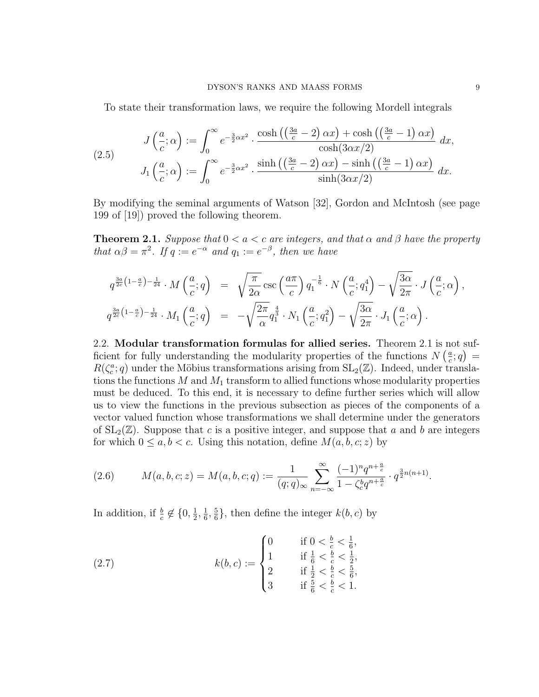To state their transformation laws, we require the following Mordell integrals

(2.5) 
$$
J\left(\frac{a}{c};\alpha\right) := \int_0^\infty e^{-\frac{3}{2}\alpha x^2} \cdot \frac{\cosh\left(\left(\frac{3a}{c} - 2\right)\alpha x\right) + \cosh\left(\left(\frac{3a}{c} - 1\right)\alpha x\right)}{\cosh(3\alpha x/2)} dx,
$$

$$
J_1\left(\frac{a}{c};\alpha\right) := \int_0^\infty e^{-\frac{3}{2}\alpha x^2} \cdot \frac{\sinh\left(\left(\frac{3a}{c} - 2\right)\alpha x\right) - \sinh\left(\left(\frac{3a}{c} - 1\right)\alpha x\right)}{\sinh(3\alpha x/2)} dx.
$$

By modifying the seminal arguments of Watson [32], Gordon and McIntosh (see page 199 of [19]) proved the following theorem.

**Theorem 2.1.** Suppose that  $0 < a < c$  are integers, and that  $\alpha$  and  $\beta$  have the property that  $\alpha\beta = \pi^2$ . If  $q := e^{-\alpha}$  and  $q_1 := e^{-\beta}$ , then we have

$$
q^{\frac{3a}{2c}\left(1-\frac{a}{c}\right)-\frac{1}{24}} \cdot M\left(\frac{a}{c};q\right) = \sqrt{\frac{\pi}{2\alpha}} \csc\left(\frac{a\pi}{c}\right) q_1^{-\frac{1}{6}} \cdot N\left(\frac{a}{c};q_1^4\right) - \sqrt{\frac{3\alpha}{2\pi}} \cdot J\left(\frac{a}{c};\alpha\right),
$$
  

$$
q^{\frac{3a}{2c}\left(1-\frac{a}{c}\right)-\frac{1}{24}} \cdot M_1\left(\frac{a}{c};q\right) = -\sqrt{\frac{2\pi}{\alpha}} q_1^{\frac{4}{3}} \cdot N_1\left(\frac{a}{c};q_1^2\right) - \sqrt{\frac{3\alpha}{2\pi}} \cdot J_1\left(\frac{a}{c};\alpha\right).
$$

2.2. Modular transformation formulas for allied series. Theorem 2.1 is not sufficient for fully understanding the modularity properties of the functions  $N\left(\frac{a}{c}\right)$  $\frac{a}{c}$ ; q) =  $R(\zeta_c^a; q)$  under the Möbius transformations arising from  $SL_2(\mathbb{Z})$ . Indeed, under translations the functions  $M$  and  $M_1$  transform to allied functions whose modularity properties must be deduced. To this end, it is necessary to define further series which will allow us to view the functions in the previous subsection as pieces of the components of a vector valued function whose transformations we shall determine under the generators of  $SL_2(\mathbb{Z})$ . Suppose that c is a positive integer, and suppose that a and b are integers for which  $0 \leq a, b < c$ . Using this notation, define  $M(a, b, c; z)$  by

(2.6) 
$$
M(a, b, c; z) = M(a, b, c; q) := \frac{1}{(q; q)_{\infty}} \sum_{n=-\infty}^{\infty} \frac{(-1)^n q^{n+\frac{a}{c}}}{1 - \zeta_c^b q^{n+\frac{a}{c}}} \cdot q^{\frac{3}{2}n(n+1)}.
$$

In addition, if  $\frac{b}{c} \notin \{0, \frac{1}{2}\}$  $\frac{1}{2}, \frac{1}{6}$  $\frac{1}{6}, \frac{5}{6}$  $\frac{5}{6}$ , then define the integer  $k(b, c)$  by

(2.7) 
$$
k(b, c) := \begin{cases} 0 & \text{if } 0 < \frac{b}{c} < \frac{1}{6}, \\ 1 & \text{if } \frac{1}{6} < \frac{b}{c} < \frac{1}{2}, \\ 2 & \text{if } \frac{1}{2} < \frac{b}{c} < \frac{5}{6}, \\ 3 & \text{if } \frac{5}{6} < \frac{b}{c} < 1. \end{cases}
$$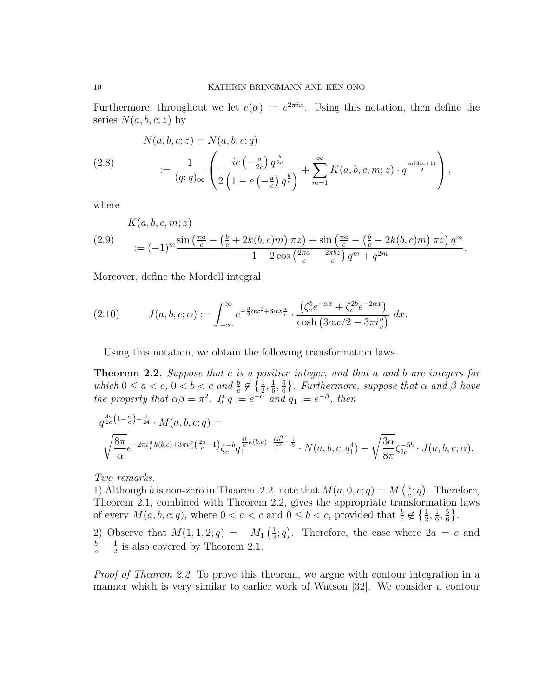Furthermore, throughout we let  $e(\alpha) := e^{2\pi i \alpha}$ . Using this notation, then define the series  $N(a, b, c; z)$  by

(2.8) 
$$
N(a, b, c; z) = N(a, b, c; q)
$$

$$
:= \frac{1}{(q; q)_{\infty}} \left( \frac{ie \left( -\frac{a}{2c} \right) q^{\frac{b}{2c}}}{2 \left( 1 - e \left( -\frac{a}{c} \right) q^{\frac{b}{c}} \right)} + \sum_{m=1}^{\infty} K(a, b, c, m; z) \cdot q^{\frac{m(3m+1)}{2}} \right),
$$

where

(2.9)  
\n
$$
K(a, b, c, m; z)
$$
\n
$$
:= (-1)^m \frac{\sin\left(\frac{\pi a}{c} - \left(\frac{b}{c} + 2k(b, c)m\right)\pi z\right) + \sin\left(\frac{\pi a}{c} - \left(\frac{b}{c} - 2k(b, c)m\right)\pi z\right) q^m}{1 - 2\cos\left(\frac{2\pi a}{c} - \frac{2\pi b z}{c}\right) q^m + q^{2m}}.
$$

Moreover, define the Mordell integral

(2.10) 
$$
J(a, b, c; \alpha) := \int_{-\infty}^{\infty} e^{-\frac{3}{2}\alpha x^2 + 3\alpha x \frac{a}{c}} \cdot \frac{(\zeta_c^b e^{-\alpha x} + \zeta_c^{2b} e^{-2\alpha x})}{\cosh(3\alpha x/2 - 3\pi i \frac{b}{c})} dx.
$$

Using this notation, we obtain the following transformation laws.

**Theorem 2.2.** Suppose that  $c$  is a positive integer, and that  $a$  and  $b$  are integers for which  $0 \le a < c$ ,  $0 < b < c$  and  $\frac{b}{c} \notin \left\{\frac{1}{2}, \frac{1}{6}\right\}$  $\frac{1}{6}, \frac{5}{6}$  $\frac{5}{6}$ . Furthermore, suppose that  $\alpha$  and  $\beta$  have the property that  $\alpha\beta = \pi^2$ . If  $q := e^{-\alpha}$  and  $q_1 := e^{-\beta}$ , then

$$
q^{\frac{3a}{2c}(1-\frac{a}{c})-\frac{1}{24}} \cdot M(a,b,c;q) =
$$
  

$$
\sqrt{\frac{8\pi}{\alpha}} e^{-2\pi i \frac{a}{c}k(b,c)+3\pi i \frac{b}{c}(\frac{2a}{c}-1)} \zeta_c^{-b} q_1^{\frac{4b}{c}k(b,c)-\frac{6b^2}{c^2}-\frac{1}{6}} \cdot N(a,b,c;q_1^4) - \sqrt{\frac{3\alpha}{8\pi}} \zeta_{2c}^{-5b} \cdot J(a,b,c;\alpha).
$$

Two remarks.

1) Although b is non-zero in Theorem 2.2, note that  $M(a, 0, c; q) = M\left(\frac{a}{c}\right)$  $(\frac{a}{c}; q)$ . Therefore, Theorem 2.1, combined with Theorem 2.2, gives the appropriate transformation laws of every  $M(a, b, c; q)$ , where  $0 < a < c$  and  $0 \le b < c$ , provided that  $\frac{b}{c} \notin \left\{\frac{1}{2}, \frac{1}{6}\right\}$  $\frac{1}{6}, \frac{5}{6}$  $\frac{5}{6}$ .

2) Observe that  $M(1, 1, 2; q) = -M_1(\frac{1}{2})$  $(\frac{1}{2}; q)$ . Therefore, the case where  $2a = c$  and  $\frac{b}{c}=\frac{1}{2}$  $\frac{1}{2}$  is also covered by Theorem 2.1.

Proof of Theorem 2.2. To prove this theorem, we argue with contour integration in a manner which is very similar to earlier work of Watson [32]. We consider a contour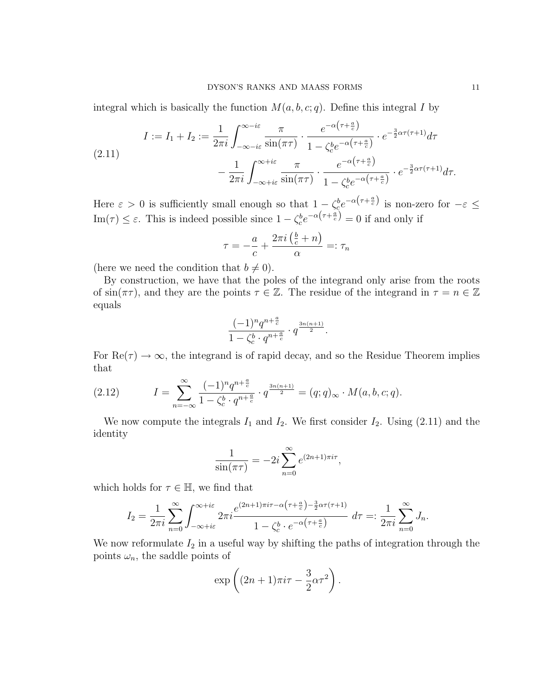integral which is basically the function  $M(a, b, c; q)$ . Define this integral I by

$$
I := I_1 + I_2 := \frac{1}{2\pi i} \int_{-\infty - i\varepsilon}^{\infty - i\varepsilon} \frac{\pi}{\sin(\pi \tau)} \cdot \frac{e^{-\alpha(\tau + \frac{a}{c})}}{1 - \zeta_c^b e^{-\alpha(\tau + \frac{a}{c})}} \cdot e^{-\frac{3}{2}\alpha\tau(\tau + 1)} d\tau
$$

$$
- \frac{1}{2\pi i} \int_{-\infty + i\varepsilon}^{\infty + i\varepsilon} \frac{\pi}{\sin(\pi \tau)} \cdot \frac{e^{-\alpha(\tau + \frac{a}{c})}}{1 - \zeta_c^b e^{-\alpha(\tau + \frac{a}{c})}} \cdot e^{-\frac{3}{2}\alpha\tau(\tau + 1)} d\tau.
$$

Here  $\varepsilon > 0$  is sufficiently small enough so that  $1 - \zeta_e^b e^{-\alpha(\tau + \frac{a}{c})}$  is non-zero for  $-\varepsilon \leq$ Im( $\tau$ )  $\leq \varepsilon$ . This is indeed possible since  $1 - \zeta_c^b e^{-\alpha(\tau + \frac{a}{c})} = 0$  if and only if

$$
\tau = -\frac{a}{c} + \frac{2\pi i \left(\frac{b}{c} + n\right)}{\alpha} =: \tau_n
$$

(here we need the condition that  $b \neq 0$ ).

By construction, we have that the poles of the integrand only arise from the roots of  $\sin(\pi\tau)$ , and they are the points  $\tau \in \mathbb{Z}$ . The residue of the integrand in  $\tau = n \in \mathbb{Z}$ equals

$$
\frac{(-1)^n q^{n+\frac{a}{c}}}{1-\zeta_c^b \cdot q^{n+\frac{a}{c}}}\cdot q^{\frac{3n(n+1)}{2}}.
$$

For  $\text{Re}(\tau) \to \infty$ , the integrand is of rapid decay, and so the Residue Theorem implies that

(2.12) 
$$
I = \sum_{n=-\infty}^{\infty} \frac{(-1)^n q^{n+\frac{a}{c}}}{1 - \zeta_c^b \cdot q^{n+\frac{a}{c}}} \cdot q^{\frac{3n(n+1)}{2}} = (q;q)_{\infty} \cdot M(a,b,c;q).
$$

We now compute the integrals  $I_1$  and  $I_2$ . We first consider  $I_2$ . Using (2.11) and the identity

$$
\frac{1}{\sin(\pi\tau)} = -2i\sum_{n=0}^{\infty} e^{(2n+1)\pi i\tau},
$$

which holds for  $\tau \in \mathbb{H}$ , we find that

$$
I_2 = \frac{1}{2\pi i} \sum_{n=0}^{\infty} \int_{-\infty + i\varepsilon}^{\infty + i\varepsilon} 2\pi i \frac{e^{(2n+1)\pi i\tau - \alpha\left(\tau + \frac{a}{c}\right) - \frac{3}{2}\alpha\tau\left(\tau + 1\right)}}{1 - \zeta_c^b \cdot e^{-\alpha\left(\tau + \frac{a}{c}\right)}} d\tau =: \frac{1}{2\pi i} \sum_{n=0}^{\infty} J_n.
$$

We now reformulate  $I_2$  in a useful way by shifting the paths of integration through the points  $\omega_n$ , the saddle points of

$$
\exp\left((2n+1)\pi i\tau-\frac{3}{2}\alpha\tau^2\right).
$$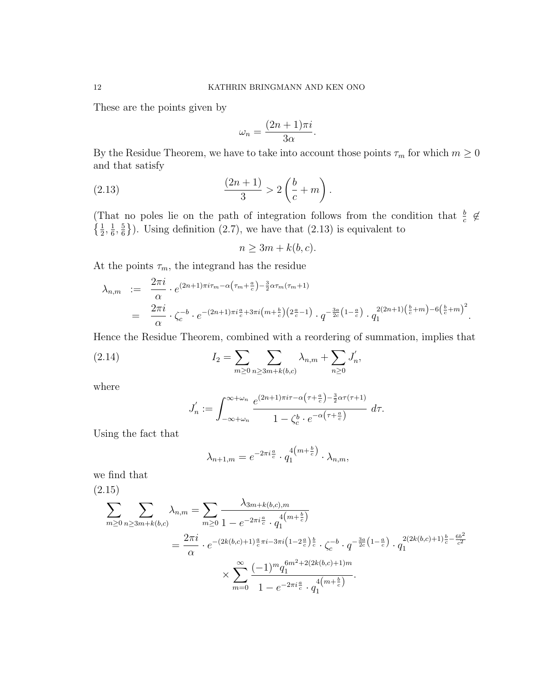These are the points given by

$$
\omega_n = \frac{(2n+1)\pi i}{3\alpha}.
$$

By the Residue Theorem, we have to take into account those points  $\tau_m$  for which  $m \geq 0$ and that satisfy

(2.13) 
$$
\frac{(2n+1)}{3} > 2\left(\frac{b}{c} + m\right).
$$

(That no poles lie on the path of integration follows from the condition that  $\frac{b}{c} \notin$  $\{\frac{1}{2},\frac{1}{6}\}$  $\frac{1}{6}, \frac{5}{6}$  $\left(\frac{5}{6}\right)$ . Using definition (2.7), we have that (2.13) is equivalent to

 $n \geq 3m + k(b, c).$ 

At the points  $\tau_m$ , the integrand has the residue

$$
\lambda_{n,m} := \frac{2\pi i}{\alpha} \cdot e^{(2n+1)\pi i \tau_m - \alpha \left(\tau_m + \frac{a}{c}\right) - \frac{3}{2}\alpha \tau_m(\tau_m + 1)}
$$
\n
$$
= \frac{2\pi i}{\alpha} \cdot \zeta_c^{-b} \cdot e^{-(2n+1)\pi i \frac{a}{c} + 3\pi i \left(m + \frac{b}{c}\right)\left(2\frac{a}{c} - 1\right)} \cdot q^{-\frac{3a}{2c}\left(1 - \frac{a}{c}\right)} \cdot q_1^{2(2n+1)\left(\frac{b}{c} + m\right) - 6\left(\frac{b}{c} + m\right)^2}.
$$

Hence the Residue Theorem, combined with a reordering of summation, implies that

(2.14) 
$$
I_2 = \sum_{m \ge 0} \sum_{n \ge 3m + k(b,c)} \lambda_{n,m} + \sum_{n \ge 0} J'_n,
$$

where

$$
J'_n := \int_{-\infty + \omega_n}^{\infty + \omega_n} \frac{e^{(2n+1)\pi i \tau - \alpha \left(\tau + \frac{a}{c}\right) - \frac{3}{2}\alpha \tau (\tau + 1)}}{1 - \zeta_c^b \cdot e^{-\alpha \left(\tau + \frac{a}{c}\right)}} d\tau.
$$

Using the fact that

$$
\lambda_{n+1,m} = e^{-2\pi i \frac{a}{c}} \cdot q_1^{4\left(m + \frac{b}{c}\right)} \cdot \lambda_{n,m},
$$

we find that

(2.15)

$$
\sum_{m\geq 0} \sum_{n\geq 3m+k(b,c)} \lambda_{n,m} = \sum_{m\geq 0} \frac{\lambda_{3m+k(b,c),m}}{1 - e^{-2\pi i \frac{a}{c}} \cdot q_1^{4(m+\frac{b}{c})}} \\
= \frac{2\pi i}{\alpha} \cdot e^{-(2k(b,c)+1)\frac{a}{c}\pi i - 3\pi i \left(1 - 2\frac{a}{c}\right)\frac{b}{c}} \cdot \zeta_c^{-b} \cdot q^{-\frac{3a}{2c}\left(1 - \frac{a}{c}\right)} \cdot q_1^{2(2k(b,c)+1)\frac{b}{c} - \frac{6b^2}{c^2}} \\
\times \sum_{m=0}^{\infty} \frac{(-1)^m q_1^{6m^2 + 2(2k(b,c)+1)m}}{1 - e^{-2\pi i \frac{a}{c}} \cdot q_1^{4\left(m + \frac{b}{c}\right)}}.
$$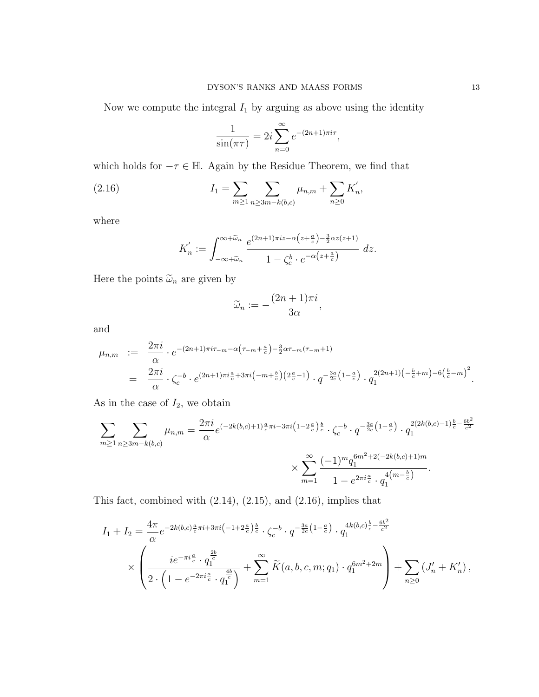Now we compute the integral  $I_1$  by arguing as above using the identity

$$
\frac{1}{\sin(\pi\tau)} = 2i \sum_{n=0}^{\infty} e^{-(2n+1)\pi i \tau},
$$

which holds for  $-\tau\in\mathbb{H}.$  Again by the Residue Theorem, we find that

(2.16) 
$$
I_1 = \sum_{m \ge 1} \sum_{n \ge 3m - k(b,c)} \mu_{n,m} + \sum_{n \ge 0} K'_n,
$$

where

$$
K'_n := \int_{-\infty + \widetilde{\omega}_n}^{\infty + \widetilde{\omega}_n} \frac{e^{(2n+1)\pi i z - \alpha \left(z + \frac{a}{c}\right) - \frac{3}{2}\alpha z \left(z + 1\right)}}{1 - \zeta_c^b \cdot e^{-\alpha \left(z + \frac{a}{c}\right)}} \ dz.
$$

Here the points  $\widetilde{\omega}_n$  are given by

$$
\widetilde{\omega}_n := -\frac{(2n+1)\pi i}{3\alpha},
$$

and

$$
\mu_{n,m} := \frac{2\pi i}{\alpha} \cdot e^{-(2n+1)\pi i \tau_{-m} - \alpha \left(\tau_{-m} + \frac{a}{c}\right) - \frac{3}{2}\alpha \tau_{-m}(\tau_{-m}+1)} \n= \frac{2\pi i}{\alpha} \cdot \zeta_c^{-b} \cdot e^{(2n+1)\pi i \frac{a}{c} + 3\pi i \left(-m + \frac{b}{c}\right)\left(2\frac{a}{c} - 1\right)} \cdot q^{-\frac{3a}{2c}\left(1 - \frac{a}{c}\right)} \cdot q_1^{2(2n+1)\left(-\frac{b}{c} + m\right) - 6\left(\frac{b}{c} - m\right)^2}.
$$

As in the case of  $I_2$ , we obtain

$$
\sum_{m\geq 1} \sum_{n\geq 3m-k(b,c)} \mu_{n,m} = \frac{2\pi i}{\alpha} e^{(-2k(b,c)+1)\frac{a}{c}\pi i - 3\pi i \left(1 - 2\frac{a}{c}\right)\frac{b}{c}} \cdot \zeta_c^{-b} \cdot q^{-\frac{3a}{2c}\left(1 - \frac{a}{c}\right)} \cdot q_1^{2(2k(b,c)-1)\frac{b}{c} - \frac{6b^2}{c^2}} \times \sum_{m=1}^{\infty} \frac{(-1)^m q_1^{6m^2 + 2(-2k(b,c)+1)m}}{1 - e^{2\pi i \frac{a}{c}} \cdot q_1^{4\left(m - \frac{b}{c}\right)}}.
$$

This fact, combined with (2.14), (2.15), and (2.16), implies that

$$
I_{1} + I_{2} = \frac{4\pi}{\alpha} e^{-2k(b,c)\frac{a}{c}\pi i + 3\pi i \left(-1 + 2\frac{a}{c}\right)\frac{b}{c}} \cdot \zeta_{c}^{-b} \cdot q^{-\frac{3a}{2c}\left(1 - \frac{a}{c}\right)} \cdot q_{1}^{4k(b,c)\frac{b}{c} - \frac{6b^{2}}{c^{2}}}
$$

$$
\times \left(\frac{ie^{-\pi i \frac{a}{c}} \cdot q_{1}^{\frac{2b}{c}}}{2 \cdot \left(1 - e^{-2\pi i \frac{a}{c}} \cdot q_{1}^{\frac{4b}{c}}\right)} + \sum_{m=1}^{\infty} \widetilde{K}(a, b, c, m; q_{1}) \cdot q_{1}^{6m^{2} + 2m}\right) + \sum_{n \geq 0} \left(J'_{n} + K'_{n}\right),
$$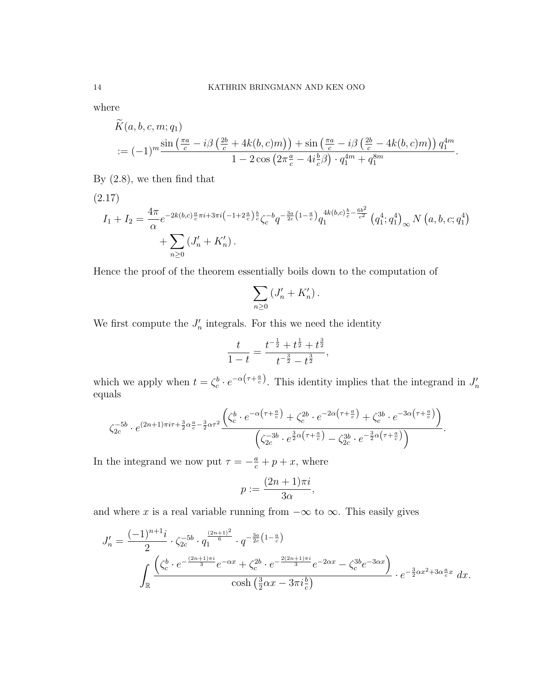where

$$
\overline{K}(a,b,c,m;q_1)
$$
  
 :=  $(-1)^m \frac{\sin\left(\frac{\pi a}{c} - i\beta\left(\frac{2b}{c} + 4k(b,c)m\right)\right) + \sin\left(\frac{\pi a}{c} - i\beta\left(\frac{2b}{c} - 4k(b,c)m\right)\right) q_1^{4m}}{1 - 2\cos\left(2\pi \frac{a}{c} - 4i\frac{b}{c}\beta\right) \cdot q_1^{4m} + q_1^{8m}}.$ 

By (2.8), we then find that

$$
(2.17)
$$
\n
$$
I_{1} + I_{2} = \frac{4\pi}{\alpha} e^{-2k(b,c)\frac{a}{c}\pi i + 3\pi i \left(-1 + 2\frac{a}{c}\right)\frac{b}{c}} \zeta_{c}^{-b} q^{-\frac{3a}{2c}\left(1 - \frac{a}{c}\right)} q_{1}^{4k(b,c)\frac{b}{c} - \frac{6b^{2}}{c^{2}}} \left(q_{1}^{4}; q_{1}^{4}\right)_{\infty} N\left(a, b, c; q_{1}^{4}\right) + \sum_{n \geq 0} \left(J'_{n} + K'_{n}\right).
$$

Hence the proof of the theorem essentially boils down to the computation of

$$
\sum_{n\geq 0} \left( J'_n + K'_n \right).
$$

We first compute the  $J'_n$  integrals. For this we need the identity

$$
\frac{t}{1-t} = \frac{t^{-\frac{1}{2}} + t^{\frac{1}{2}} + t^{\frac{3}{2}}}{t^{-\frac{3}{2}} - t^{\frac{3}{2}}},
$$

which we apply when  $t = \zeta_c^b \cdot e^{-\alpha(\tau + \frac{a}{c})}$ . This identity implies that the integrand in  $J'_n$ equals

$$
\zeta_{2c}^{-5b} \cdot e^{(2n+1)\pi i \tau + \frac{3}{2}\alpha\frac{a}{c} - \frac{3}{2}\alpha\tau^2} \frac{\left(\zeta_c^b \cdot e^{-\alpha\left(\tau + \frac{a}{c}\right)} + \zeta_c^{2b} \cdot e^{-2\alpha\left(\tau + \frac{a}{c}\right)} + \zeta_c^{3b} \cdot e^{-3\alpha\left(\tau + \frac{a}{c}\right)}\right)}{\left(\zeta_{2c}^{-3b} \cdot e^{\frac{3}{2}\alpha\left(\tau + \frac{a}{c}\right)} - \zeta_{2c}^{3b} \cdot e^{-\frac{3}{2}\alpha\left(\tau + \frac{a}{c}\right)}\right)}.
$$

In the integrand we now put  $\tau = -\frac{a}{c} + p + x$ , where

$$
p := \frac{(2n+1)\pi i}{3\alpha},
$$

and where x is a real variable running from  $-\infty$  to  $\infty$ . This easily gives

$$
J'_{n} = \frac{(-1)^{n+1}i}{2} \cdot \zeta_{2c}^{-5b} \cdot q_1^{\frac{(2n+1)^2}{6}} \cdot q^{-\frac{3a}{2c}(1-\frac{a}{c})}
$$

$$
\int_{\mathbb{R}} \frac{\left(\zeta_c^b \cdot e^{-\frac{(2n+1)\pi i}{3}}e^{-\alpha x} + \zeta_c^{2b} \cdot e^{-\frac{2(2n+1)\pi i}{3}}e^{-2\alpha x} - \zeta_c^{3b}e^{-3\alpha x}\right)}{\cosh\left(\frac{3}{2}\alpha x - 3\pi i\frac{b}{c}\right)} \cdot e^{-\frac{3}{2}\alpha x^2 + 3\alpha\frac{a}{c}x} dx.
$$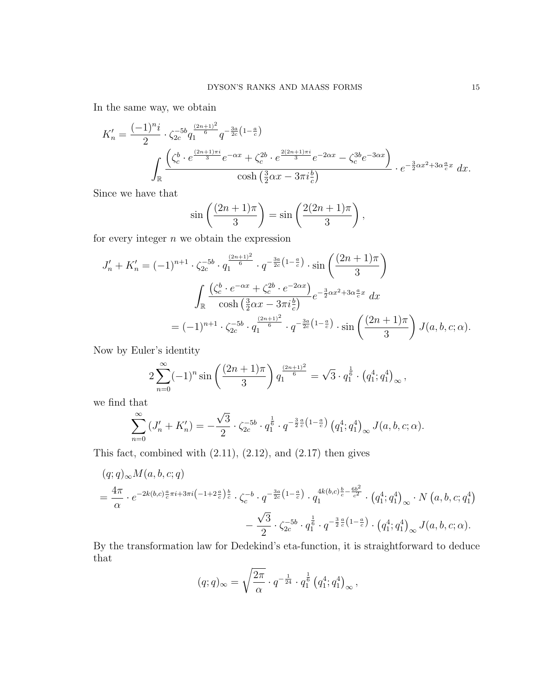In the same way, we obtain

$$
K'_{n} = \frac{(-1)^{n}i}{2} \cdot \zeta_{2c}^{-5b} q_1^{\frac{(2n+1)^{2}}{6}} q^{-\frac{3a}{2c}(1-\frac{a}{c})}
$$

$$
\int_{\mathbb{R}} \frac{\left(\zeta_c^{b} \cdot e^{\frac{(2n+1)\pi i}{3}} e^{-\alpha x} + \zeta_c^{2b} \cdot e^{\frac{2(2n+1)\pi i}{3}} e^{-2\alpha x} - \zeta_c^{3b} e^{-3\alpha x}\right)}{\cosh\left(\frac{3}{2}\alpha x - 3\pi i\frac{b}{c}\right)} \cdot e^{-\frac{3}{2}\alpha x^{2} + 3\alpha\frac{a}{c}x} dx.
$$

Since we have that

$$
\sin\left(\frac{(2n+1)\pi}{3}\right) = \sin\left(\frac{2(2n+1)\pi}{3}\right),\,
$$

for every integer  $n$  we obtain the expression

$$
J'_{n} + K'_{n} = (-1)^{n+1} \cdot \zeta_{2c}^{-5b} \cdot q_{1}^{\frac{(2n+1)^{2}}{6}} \cdot q^{-\frac{3a}{2c}(1-\frac{a}{c})} \cdot \sin\left(\frac{(2n+1)\pi}{3}\right)
$$

$$
\int_{\mathbb{R}} \frac{\left(\zeta_{c}^{b} \cdot e^{-\alpha x} + \zeta_{c}^{2b} \cdot e^{-2\alpha x}\right)}{\cosh\left(\frac{3}{2}\alpha x - 3\pi i\frac{b}{c}\right)} e^{-\frac{3}{2}\alpha x^{2} + 3\alpha \frac{a}{c}x} dx
$$

$$
= (-1)^{n+1} \cdot \zeta_{2c}^{-5b} \cdot q_{1}^{\frac{(2n+1)^{2}}{6}} \cdot q^{-\frac{3a}{2c}(1-\frac{a}{c})} \cdot \sin\left(\frac{(2n+1)\pi}{3}\right) J(a,b,c;\alpha).
$$

Now by Euler's identity

$$
2\sum_{n=0}^{\infty}(-1)^n\sin\left(\frac{(2n+1)\pi}{3}\right)q_1^{\frac{(2n+1)^2}{6}} = \sqrt{3}\cdot q_1^{\frac{1}{6}}\cdot\left(q_1^4;q_1^4\right)_{\infty},
$$

we find that

$$
\sum_{n=0}^{\infty} (J'_n + K'_n) = -\frac{\sqrt{3}}{2} \cdot \zeta_{2c}^{-5b} \cdot q_1^{\frac{1}{6}} \cdot q^{-\frac{3}{2}\frac{a}{c}\left(1-\frac{a}{c}\right)} \left(q_1^4; q_1^4\right)_{\infty} J(a, b, c; \alpha).
$$

This fact, combined with  $(2.11)$ ,  $(2.12)$ , and  $(2.17)$  then gives

$$
(q;q)_{\infty}M(a,b,c;q)
$$
  
=  $\frac{4\pi}{\alpha} \cdot e^{-2k(b,c)\frac{a}{c}\pi i + 3\pi i(-1+2\frac{a}{c})\frac{b}{c}} \cdot \zeta_c^{-b} \cdot q^{-\frac{3a}{2c}(1-\frac{a}{c})} \cdot q_1^{4k(b,c)\frac{b}{c}-\frac{6b^2}{c^2}} \cdot (q_1^4; q_1^4)_{\infty} \cdot N(a,b,c;q_1^4)$   

$$
-\frac{\sqrt{3}}{2} \cdot \zeta_{2c}^{-5b} \cdot q_1^{\frac{1}{6}} \cdot q^{-\frac{3}{2}\frac{a}{c}(1-\frac{a}{c})} \cdot (q_1^4; q_1^4)_{\infty} J(a,b,c;\alpha).
$$

By the transformation law for Dedekind's eta-function, it is straightforward to deduce that

$$
(q;q)_{\infty} = \sqrt{\frac{2\pi}{\alpha}} \cdot q^{-\frac{1}{24}} \cdot q_1^{\frac{1}{6}} (q_1^4; q_1^4)_{\infty},
$$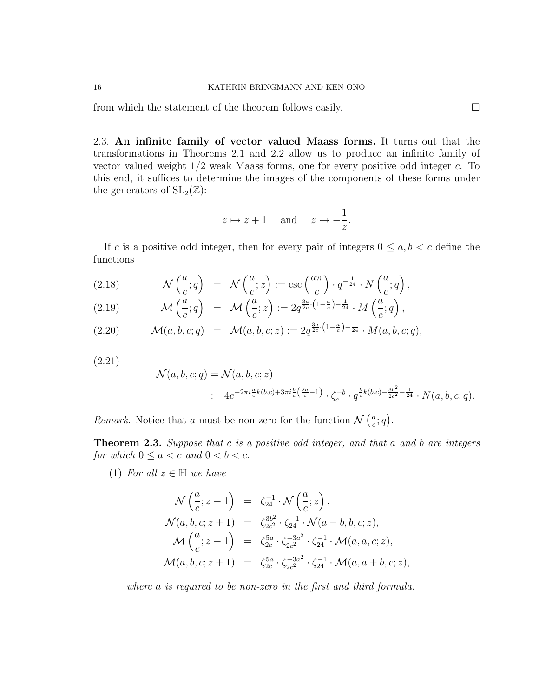from which the statement of the theorem follows easily.  $\Box$ 

2.3. An infinite family of vector valued Maass forms. It turns out that the transformations in Theorems 2.1 and 2.2 allow us to produce an infinite family of vector valued weight  $1/2$  weak Maass forms, one for every positive odd integer c. To this end, it suffices to determine the images of the components of these forms under the generators of  $SL_2(\mathbb{Z})$ :

$$
z \mapsto z+1
$$
 and  $z \mapsto -\frac{1}{z}$ .

If c is a positive odd integer, then for every pair of integers  $0 \le a, b < c$  define the functions

(2.18) 
$$
\mathcal{N}\left(\frac{a}{c};q\right) = \mathcal{N}\left(\frac{a}{c};z\right) := \csc\left(\frac{a\pi}{c}\right) \cdot q^{-\frac{1}{24}} \cdot N\left(\frac{a}{c};q\right),
$$

(2.19) 
$$
\mathcal{M}\left(\frac{a}{c};q\right) = \mathcal{M}\left(\frac{a}{c};z\right) := 2q^{\frac{3a}{2c}\cdot\left(1-\frac{a}{c}\right)-\frac{1}{24}}\cdot M\left(\frac{a}{c};q\right),
$$

$$
(2.20) \quad \mathcal{M}(a,b,c;q) = \mathcal{M}(a,b,c;z) := 2q^{\frac{3a}{2c} \cdot \left(1 - \frac{a}{c}\right) - \frac{1}{24}} \cdot M(a,b,c;q),
$$

(2.21)

$$
\mathcal{N}(a, b, c; q) = \mathcal{N}(a, b, c; z)
$$
  
:=  $4e^{-2\pi i \frac{a}{c}k(b,c) + 3\pi i \frac{b}{c}(\frac{2a}{c}-1)} \cdot \zeta_c^{-b} \cdot q^{\frac{b}{c}k(b,c) - \frac{3b^2}{2c^2} - \frac{1}{24}} \cdot N(a, b, c; q).$ 

Remark. Notice that a must be non-zero for the function  $\mathcal{N}\left(\frac{a}{c}\right)$  $\frac{a}{c}$ ; q).

Theorem 2.3. Suppose that c is a positive odd integer, and that a and b are integers for which  $0 \le a < c$  and  $0 < b < c$ .

(1) For all  $z \in \mathbb{H}$  we have

$$
\mathcal{N}\left(\frac{a}{c}; z+1\right) = \zeta_{24}^{-1} \cdot \mathcal{N}\left(\frac{a}{c}; z\right),
$$
\n
$$
\mathcal{N}(a, b, c; z+1) = \zeta_{2c}^{3b^2} \cdot \zeta_{24}^{-1} \cdot \mathcal{N}(a-b, b, c; z),
$$
\n
$$
\mathcal{M}\left(\frac{a}{c}; z+1\right) = \zeta_{2c}^{5a} \cdot \zeta_{2c^2}^{-3a^2} \cdot \zeta_{24}^{-1} \cdot \mathcal{M}(a, a, c; z),
$$
\n
$$
\mathcal{M}(a, b, c; z+1) = \zeta_{2c}^{5a} \cdot \zeta_{2c^2}^{-3a^2} \cdot \zeta_{24}^{-1} \cdot \mathcal{M}(a, a+b, c; z),
$$

where a is required to be non-zero in the first and third formula.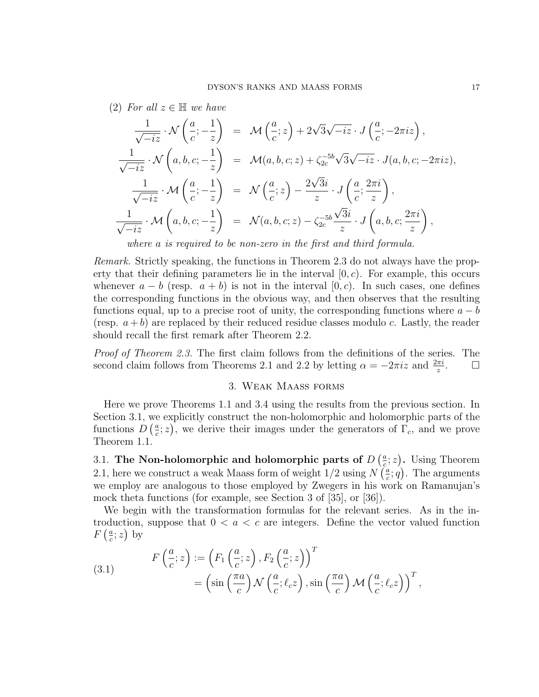(2) For all  $z \in \mathbb{H}$  we have

$$
\frac{1}{\sqrt{-iz}} \cdot \mathcal{N}\left(\frac{a}{c}; -\frac{1}{z}\right) = \mathcal{M}\left(\frac{a}{c}; z\right) + 2\sqrt{3}\sqrt{-iz} \cdot J\left(\frac{a}{c}; -2\pi iz\right),
$$
\n
$$
\frac{1}{\sqrt{-iz}} \cdot \mathcal{N}\left(a, b, c; -\frac{1}{z}\right) = \mathcal{M}(a, b, c; z) + \zeta_{2c}^{-5b}\sqrt{3}\sqrt{-iz} \cdot J(a, b, c; -2\pi iz),
$$
\n
$$
\frac{1}{\sqrt{-iz}} \cdot \mathcal{M}\left(\frac{a}{c}; -\frac{1}{z}\right) = \mathcal{N}\left(\frac{a}{c}; z\right) - \frac{2\sqrt{3}i}{z} \cdot J\left(\frac{a}{c}; \frac{2\pi i}{z}\right),
$$
\n
$$
\frac{1}{\sqrt{-iz}} \cdot \mathcal{M}\left(a, b, c; -\frac{1}{z}\right) = \mathcal{N}(a, b, c; z) - \zeta_{2c}^{-5b}\frac{\sqrt{3}i}{z} \cdot J\left(a, b, c; \frac{2\pi i}{z}\right),
$$

where a is required to be non-zero in the first and third formula.

Remark. Strictly speaking, the functions in Theorem 2.3 do not always have the property that their defining parameters lie in the interval  $[0, c)$ . For example, this occurs whenever  $a - b$  (resp.  $a + b$ ) is not in the interval [0, c). In such cases, one defines the corresponding functions in the obvious way, and then observes that the resulting functions equal, up to a precise root of unity, the corresponding functions where  $a - b$ (resp.  $a + b$ ) are replaced by their reduced residue classes modulo c. Lastly, the reader should recall the first remark after Theorem 2.2.

Proof of Theorem 2.3. The first claim follows from the definitions of the series. The second claim follows from Theorems 2.1 and 2.2 by letting  $\alpha = -2\pi i z$  and  $\frac{2\pi i}{z}$  $\Box$ 

#### 3. Weak Maass forms

Here we prove Theorems 1.1 and 3.4 using the results from the previous section. In Section 3.1, we explicitly construct the non-holomorphic and holomorphic parts of the functions  $D\left(\frac{a}{c}\right)$  $(\frac{a}{c}; z)$ , we derive their images under the generators of  $\Gamma_c$ , and we prove Theorem 1.1.

3.1. The Non-holomorphic and holomorphic parts of  $D\left(\frac{a}{c}\right)$  $(\frac{a}{c}; z)$ . Using Theorem 2.1, here we construct a weak Maass form of weight  $1/2$  using  $N\left(\frac{a}{c}\right)$  $(\frac{a}{c}; q)$ . The arguments we employ are analogous to those employed by Zwegers in his work on Ramanujan's mock theta functions (for example, see Section 3 of [35], or [36]).

We begin with the transformation formulas for the relevant series. As in the introduction, suppose that  $0 < a < c$  are integers. Define the vector valued function  $F\left(\frac{a}{c}\right)$  $\frac{a}{c}$ ; z) by

(3.1) 
$$
F\left(\frac{a}{c}; z\right) := \left(F_1\left(\frac{a}{c}; z\right), F_2\left(\frac{a}{c}; z\right)\right)^T = \left(\sin\left(\frac{\pi a}{c}\right) \mathcal{N}\left(\frac{a}{c}; \ell_c z\right), \sin\left(\frac{\pi a}{c}\right) \mathcal{M}\left(\frac{a}{c}; \ell_c z\right)\right)^T,
$$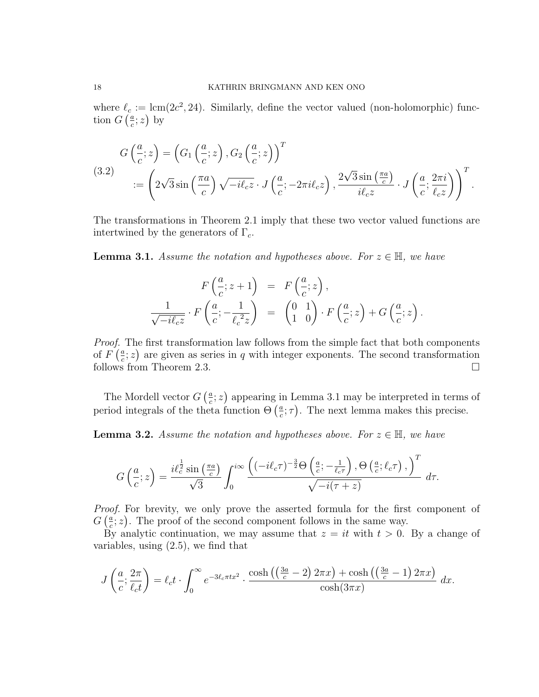where  $\ell_c := \text{lcm}(2c^2, 24)$ . Similarly, define the vector valued (non-holomorphic) function  $G\left(\frac{a}{c}\right)$  $\frac{a}{c}$ ; z) by

(3.2)  
\n
$$
G\left(\frac{a}{c}; z\right) = \left(G_1\left(\frac{a}{c}; z\right), G_2\left(\frac{a}{c}; z\right)\right)^T
$$
\n
$$
:= \left(2\sqrt{3}\sin\left(\frac{\pi a}{c}\right)\sqrt{-i\ell_c z} \cdot J\left(\frac{a}{c}; -2\pi i\ell_c z\right), \frac{2\sqrt{3}\sin\left(\frac{\pi a}{c}\right)}{i\ell_c z} \cdot J\left(\frac{a}{c}; \frac{2\pi i}{\ell_c z}\right)\right)^T.
$$

The transformations in Theorem 2.1 imply that these two vector valued functions are intertwined by the generators of  $\Gamma_c$ .

**Lemma 3.1.** Assume the notation and hypotheses above. For  $z \in \mathbb{H}$ , we have

$$
F\left(\frac{a}{c}; z+1\right) = F\left(\frac{a}{c}; z\right),
$$
  

$$
\frac{1}{\sqrt{-i\ell_c z}} \cdot F\left(\frac{a}{c}; -\frac{1}{\ell_c^2 z}\right) = \begin{pmatrix} 0 & 1 \\ 1 & 0 \end{pmatrix} \cdot F\left(\frac{a}{c}; z\right) + G\left(\frac{a}{c}; z\right).
$$

Proof. The first transformation law follows from the simple fact that both components of  $F\left(\frac{a}{c}\right)$  $(\frac{a}{c}; z)$  are given as series in q with integer exponents. The second transformation follows from Theorem 2.3.

The Mordell vector  $G\left(\frac{a}{c}\right)$  $(\frac{a}{c}; z)$  appearing in Lemma 3.1 may be interpreted in terms of period integrals of the theta function  $\Theta\left(\frac{a}{c}\right)$  $(\frac{a}{c}; \tau)$ . The next lemma makes this precise.

**Lemma 3.2.** Assume the notation and hypotheses above. For  $z \in \mathbb{H}$ , we have

$$
G\left(\frac{a}{c};z\right) = \frac{i\ell_c^{\frac{1}{2}}\sin\left(\frac{\pi a}{c}\right)}{\sqrt{3}} \int_0^{i\infty} \frac{\left((-i\ell_c \tau)^{-\frac{3}{2}}\Theta\left(\frac{a}{c};-\frac{1}{\ell_c \tau}\right),\Theta\left(\frac{a}{c};\ell_c \tau\right),\right)^T}{\sqrt{-i(\tau+z)}} d\tau.
$$

Proof. For brevity, we only prove the asserted formula for the first component of  $G\left(\frac{a}{c}\right)$  $(\frac{a}{c}; z)$ . The proof of the second component follows in the same way.

By analytic continuation, we may assume that  $z = it$  with  $t > 0$ . By a change of variables, using (2.5), we find that

$$
J\left(\frac{a}{c};\frac{2\pi}{\ell_c t}\right) = \ell_c t \cdot \int_0^\infty e^{-3\ell_c \pi t x^2} \cdot \frac{\cosh\left(\left(\frac{3a}{c} - 2\right) 2\pi x\right) + \cosh\left(\left(\frac{3a}{c} - 1\right) 2\pi x\right)}{\cosh(3\pi x)} dx.
$$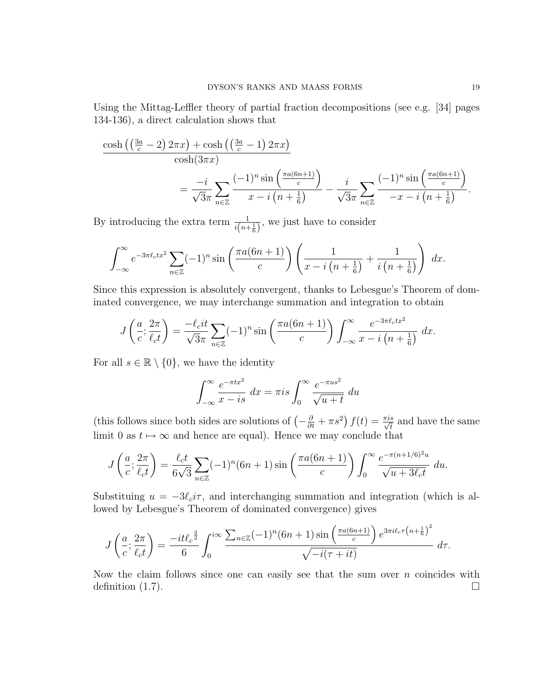Using the Mittag-Leffler theory of partial fraction decompositions (see e.g. [34] pages 134-136), a direct calculation shows that

$$
\frac{\cosh\left(\left(\frac{3a}{c}-2\right)2\pi x\right)+\cosh\left(\left(\frac{3a}{c}-1\right)2\pi x\right)}{\cosh(3\pi x)} = \frac{-i}{\sqrt{3}\pi} \sum_{n\in\mathbb{Z}} \frac{(-1)^n \sin\left(\frac{\pi a(6n+1)}{c}\right)}{x-i\left(n+\frac{1}{6}\right)} - \frac{i}{\sqrt{3}\pi} \sum_{n\in\mathbb{Z}} \frac{(-1)^n \sin\left(\frac{\pi a(6n+1)}{c}\right)}{-x-i\left(n+\frac{1}{6}\right)}.
$$

By introducing the extra term  $\frac{1}{i(n+\frac{1}{6})}$ , we just have to consider

$$
\int_{-\infty}^{\infty} e^{-3\pi \ell_c t x^2} \sum_{n \in \mathbb{Z}} (-1)^n \sin\left(\frac{\pi a (6n+1)}{c}\right) \left(\frac{1}{x - i\left(n + \frac{1}{6}\right)} + \frac{1}{i\left(n + \frac{1}{6}\right)}\right) dx.
$$

Since this expression is absolutely convergent, thanks to Lebesgue's Theorem of dominated convergence, we may interchange summation and integration to obtain

$$
J\left(\frac{a}{c};\frac{2\pi}{\ell_c t}\right) = \frac{-\ell_c it}{\sqrt{3}\pi} \sum_{n\in\mathbb{Z}} (-1)^n \sin\left(\frac{\pi a(6n+1)}{c}\right) \int_{-\infty}^{\infty} \frac{e^{-3\pi \ell_c t x^2}}{x - i\left(n + \frac{1}{6}\right)} dx.
$$

For all  $s \in \mathbb{R} \setminus \{0\}$ , we have the identity

$$
\int_{-\infty}^{\infty} \frac{e^{-\pi tx^2}}{x - is} dx = \pi is \int_{0}^{\infty} \frac{e^{-\pi us^2}}{\sqrt{u + t}} du
$$

(this follows since both sides are solutions of  $\left(-\frac{\partial}{\partial t} + \pi s^2\right) f(t) = \frac{\pi i s}{\sqrt{t}}$  and have the same limit 0 as  $t \mapsto \infty$  and hence are equal). Hence we may conclude that

$$
J\left(\frac{a}{c};\frac{2\pi}{\ell_c t}\right) = \frac{\ell_c t}{6\sqrt{3}} \sum_{n\in\mathbb{Z}} (-1)^n (6n+1) \sin\left(\frac{\pi a (6n+1)}{c}\right) \int_0^\infty \frac{e^{-\pi (n+1/6)^2 u}}{\sqrt{u+3\ell_c t}} du.
$$

Substituing  $u = -3\ell_c i\tau$ , and interchanging summation and integration (which is allowed by Lebesgue's Theorem of dominated convergence) gives

$$
J\left(\frac{a}{c};\frac{2\pi}{\ell_c t}\right) = \frac{-it\ell_c^{\frac{3}{2}}}{6} \int_0^{i\infty} \frac{\sum_{n\in\mathbb{Z}} (-1)^n (6n+1) \sin\left(\frac{\pi a (6n+1)}{c}\right) e^{3\pi i \ell_c \tau \left(n+\frac{1}{6}\right)^2}}{\sqrt{-i(\tau+it)}} d\tau.
$$

Now the claim follows since one can easily see that the sum over  $n$  coincides with definition  $(1.7)$ .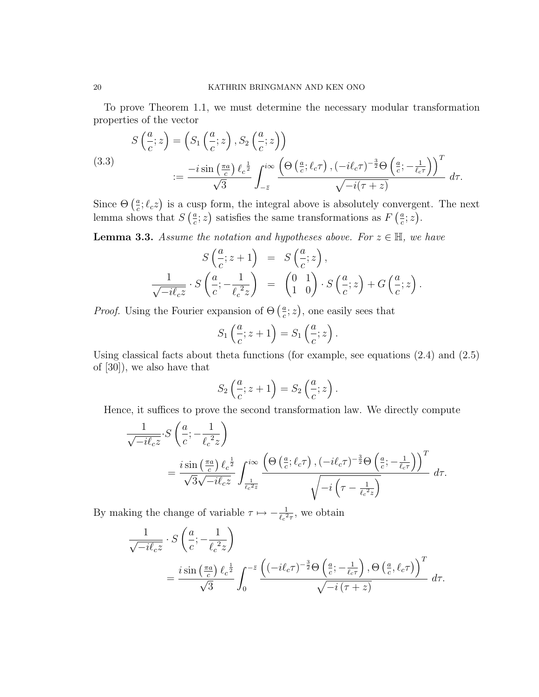To prove Theorem 1.1, we must determine the necessary modular transformation properties of the vector

(3.3)  
\n
$$
S\left(\frac{a}{c}; z\right) = \left(S_1\left(\frac{a}{c}; z\right), S_2\left(\frac{a}{c}; z\right)\right)
$$
\n
$$
:= \frac{-i \sin\left(\frac{\pi a}{c}\right) \ell_c^{\frac{1}{2}}}{\sqrt{3}} \int_{-\bar{z}}^{i\infty} \frac{\left(\Theta\left(\frac{a}{c}; \ell_c \tau\right), (-i\ell_c \tau)^{-\frac{3}{2}} \Theta\left(\frac{a}{c}; -\frac{1}{\ell_c \tau}\right)\right)^T}{\sqrt{-i(\tau + z)}} d\tau.
$$

Since  $\Theta\left(\frac{a}{c}\right)$  $(\frac{a}{c}; \ell_c z)$  is a cusp form, the integral above is absolutely convergent. The next lemma shows that  $S\left(\frac{a}{c}\right)$  $(\frac{a}{c}; z)$  satisfies the same transformations as  $F\left(\frac{a}{c}\right)$  $\frac{a}{c}$ ; z).

**Lemma 3.3.** Assume the notation and hypotheses above. For  $z \in \mathbb{H}$ , we have

$$
S\left(\frac{a}{c}; z+1\right) = S\left(\frac{a}{c}; z\right),
$$
  

$$
\frac{1}{\sqrt{-i\ell_c z}} \cdot S\left(\frac{a}{c}; -\frac{1}{\ell_c^2 z}\right) = \begin{pmatrix} 0 & 1\\ 1 & 0 \end{pmatrix} \cdot S\left(\frac{a}{c}; z\right) + G\left(\frac{a}{c}; z\right).
$$

*Proof.* Using the Fourier expansion of  $\Theta$  ( $\frac{a}{c}$  $(\frac{a}{c}; z)$ , one easily sees that

$$
S_1\left(\frac{a}{c}; z+1\right) = S_1\left(\frac{a}{c}; z\right).
$$

Using classical facts about theta functions (for example, see equations  $(2.4)$  and  $(2.5)$ ) of [30]), we also have that

$$
S_2\left(\frac{a}{c}; z+1\right) = S_2\left(\frac{a}{c}; z\right).
$$

Hence, it suffices to prove the second transformation law. We directly compute

$$
\frac{1}{\sqrt{-i\ell_c z}} \cdot S\left(\frac{a}{c}; -\frac{1}{\ell_c^2 z}\right)
$$
\n
$$
= \frac{i \sin\left(\frac{\pi a}{c}\right) \ell_c^{\frac{1}{2}}}{\sqrt{3}\sqrt{-i\ell_c z}} \int_{\frac{1}{\ell_c^2 z}}^{i\infty} \frac{\left(\Theta\left(\frac{a}{c}; \ell_c \tau\right), (-i\ell_c \tau)^{-\frac{3}{2}} \Theta\left(\frac{a}{c}; -\frac{1}{\ell_c \tau}\right)\right)^T}{\sqrt{-i\left(\tau - \frac{1}{\ell_c^2 z}\right)}} d\tau.
$$

By making the change of variable  $\tau \mapsto -\frac{1}{\ell_c^2 \tau}$ , we obtain

$$
\frac{1}{\sqrt{-i\ell_c z}} \cdot S\left(\frac{a}{c}; -\frac{1}{\ell_c^2 z}\right)
$$
\n
$$
= \frac{i \sin\left(\frac{\pi a}{c}\right) \ell_c^{\frac{1}{2}}}{\sqrt{3}} \int_0^{-\bar{z}} \frac{\left((-i\ell_c \tau)^{-\frac{3}{2}} \Theta\left(\frac{a}{c}; -\frac{1}{\ell_c \tau}\right), \Theta\left(\frac{a}{c}, \ell_c \tau\right)\right)^T}{\sqrt{-i\left(\tau + z\right)}} d\tau.
$$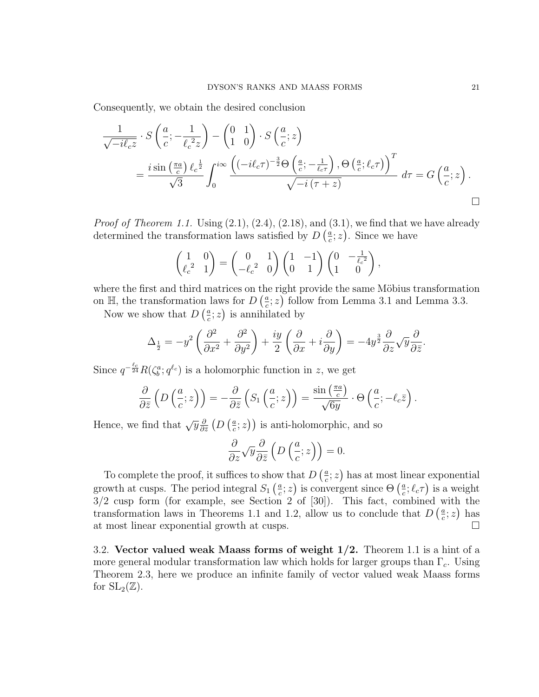Consequently, we obtain the desired conclusion

$$
\frac{1}{\sqrt{-i\ell_c z}} \cdot S\left(\frac{a}{c}; -\frac{1}{\ell_c^2 z}\right) - \begin{pmatrix} 0 & 1 \\ 1 & 0 \end{pmatrix} \cdot S\left(\frac{a}{c}; z\right)
$$
\n
$$
= \frac{i \sin\left(\frac{\pi a}{c}\right) \ell_c^{\frac{1}{2}}}{\sqrt{3}} \int_0^{i\infty} \frac{\left((-i\ell_c \tau)^{-\frac{3}{2}} \Theta\left(\frac{a}{c}; -\frac{1}{\ell_c \tau}\right), \Theta\left(\frac{a}{c}; \ell_c \tau\right)\right)^T}{\sqrt{-i(\tau + z)}} d\tau = G\left(\frac{a}{c}; z\right).
$$

*Proof of Theorem 1.1.* Using  $(2.1)$ ,  $(2.4)$ ,  $(2.18)$ , and  $(3.1)$ , we find that we have already determined the transformation laws satisfied by  $D\left(\frac{a}{c}\right)$  $(\frac{a}{c}; z)$ . Since we have

$$
\begin{pmatrix} 1 & 0 \ \ell_c^2 & 1 \end{pmatrix} = \begin{pmatrix} 0 & 1 \ -\ell_c^2 & 0 \end{pmatrix} \begin{pmatrix} 1 & -1 \ 0 & 1 \end{pmatrix} \begin{pmatrix} 0 & -\frac{1}{\ell_c^2} \\ 1 & 0 \end{pmatrix},
$$

where the first and third matrices on the right provide the same Möbius transformation on  $\mathbb{H}$ , the transformation laws for  $D\left(\frac{a}{c}\right)$  $(\frac{a}{c}; z)$  follow from Lemma 3.1 and Lemma 3.3.

Now we show that  $D\left(\frac{a}{c}\right)$  $(\frac{a}{c}; z)$  is annihilated by

$$
\Delta_{\frac{1}{2}} = -y^2 \left( \frac{\partial^2}{\partial x^2} + \frac{\partial^2}{\partial y^2} \right) + \frac{iy}{2} \left( \frac{\partial}{\partial x} + i \frac{\partial}{\partial y} \right) = -4y^{\frac{3}{2}} \frac{\partial}{\partial z} \sqrt{y} \frac{\partial}{\partial \bar{z}}.
$$

Since  $q^{-\frac{\ell_c}{24}}R(\zeta_b^a; q^{\ell_c})$  is a holomorphic function in z, we get

$$
\frac{\partial}{\partial \bar{z}}\left(D\left(\frac{a}{c};z\right)\right)=-\frac{\partial}{\partial \bar{z}}\left(S_1\left(\frac{a}{c};z\right)\right)=\frac{\sin\left(\frac{\pi a}{c}\right)}{\sqrt{6y}}\cdot\Theta\left(\frac{a}{c};-\ell_c\bar{z}\right).
$$

Hence, we find that  $\sqrt{y} \frac{\partial}{\partial y}$  $\frac{\partial}{\partial \bar{z}}\left(D\left(\frac{a}{c}\right.\right)$  $(\frac{a}{c}; z)$ ) is anti-holomorphic, and so

$$
\frac{\partial}{\partial z} \sqrt{y} \frac{\partial}{\partial \bar{z}} \left( D\left(\frac{a}{c}; z\right) \right) = 0.
$$

To complete the proof, it suffices to show that  $D\left(\frac{a}{c}\right)$  $(\frac{a}{c}; z)$  has at most linear exponential growth at cusps. The period integral  $S_1\left(\frac{a}{c}\right)$  $(\frac{a}{c}; z)$  is convergent since  $\Theta\left(\frac{a}{c}\right)$  $\frac{a}{c}$ ;  $\ell_c \tau$ ) is a weight  $3/2$  cusp form (for example, see Section 2 of [30]). This fact, combined with the transformation laws in Theorems 1.1 and 1.2, allow us to conclude that  $D\left(\frac{a}{c}\right)$  $\frac{a}{c}$ ; z) has at most linear exponential growth at cusps.

3.2. Vector valued weak Maass forms of weight  $1/2$ . Theorem 1.1 is a hint of a more general modular transformation law which holds for larger groups than  $\Gamma_c$ . Using Theorem 2.3, here we produce an infinite family of vector valued weak Maass forms for  $SL_2(\mathbb{Z})$ .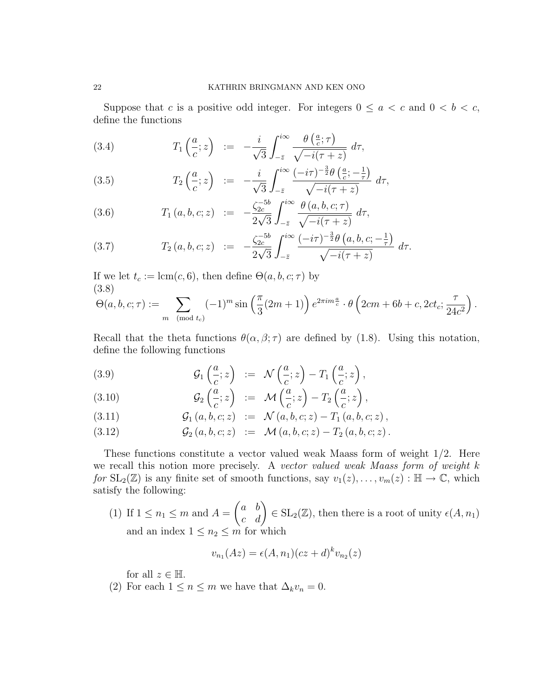Suppose that c is a positive odd integer. For integers  $0 \le a < c$  and  $0 < b < c$ , define the functions

(3.4) 
$$
T_1\left(\frac{a}{c};z\right) := -\frac{i}{\sqrt{3}}\int_{-\bar{z}}^{i\infty} \frac{\theta\left(\frac{a}{c};\tau\right)}{\sqrt{-i(\tau+z)}} d\tau,
$$

(3.5) 
$$
T_2\left(\frac{a}{c};z\right) := -\frac{i}{\sqrt{3}}\int_{-\bar{z}}^{i\infty} \frac{(-i\tau)^{-\frac{3}{2}}\theta\left(\frac{a}{c};-\frac{1}{\tau}\right)}{\sqrt{-i(\tau+z)}} d\tau,
$$

(3.6) 
$$
T_1(a, b, c; z) := -\frac{\zeta_{2c}^{-5b}}{2\sqrt{3}} \int_{-\bar{z}}^{i\infty} \frac{\theta(a, b, c; \tau)}{\sqrt{-i(\tau + z)}} d\tau,
$$

(3.7) 
$$
T_2(a, b, c; z) := -\frac{\zeta_{2c}^{-5b}}{2\sqrt{3}} \int_{-\bar{z}}^{i\infty} \frac{(-i\tau)^{-\frac{3}{2}} \theta(a, b, c; -\frac{1}{\tau})}{\sqrt{-i(\tau + z)}} d\tau.
$$

If we let  $t_c := \text{lcm}(c, 6)$ , then define  $\Theta(a, b, c; \tau)$  by (3.8)

$$
\Theta(a, b, c; \tau) := \sum_{m \pmod{t_c}} (-1)^m \sin\left(\frac{\pi}{3}(2m+1)\right) e^{2\pi i m \frac{a}{c}} \cdot \theta\left(2cm + 6b + c, 2ct_c; \frac{\tau}{24c^2}\right).
$$

Recall that the theta functions  $\theta(\alpha, \beta; \tau)$  are defined by (1.8). Using this notation, define the following functions

(3.9) 
$$
\mathcal{G}_1\left(\frac{a}{c};z\right) := \mathcal{N}\left(\frac{a}{c};z\right) - T_1\left(\frac{a}{c};z\right),
$$

(3.10) 
$$
\mathcal{G}_2\left(\frac{a}{c};z\right) := \mathcal{M}\left(\frac{a}{c};z\right) - T_2\left(\frac{a}{c};z\right),
$$

(3.11) 
$$
\mathcal{G}_1(a, b, c; z) := \mathcal{N}(a, b, c; z) - T_1(a, b, c; z),
$$

(3.12) 
$$
\mathcal{G}_2(a, b, c; z) := \mathcal{M}(a, b, c; z) - T_2(a, b, c; z).
$$

These functions constitute a vector valued weak Maass form of weight 1/2. Here we recall this notion more precisely. A vector valued weak Maass form of weight k for  $SL_2(\mathbb{Z})$  is any finite set of smooth functions, say  $v_1(z), \ldots, v_m(z) : \mathbb{H} \to \mathbb{C}$ , which satisfy the following:

(1) If  $1 \leq n_1 \leq m$  and  $A =$  $\begin{pmatrix} a & b \\ c & d \end{pmatrix} \in SL_2(\mathbb{Z})$ , then there is a root of unity  $\epsilon(A, n_1)$ and an index  $1\leq n_2\leq m$  for which

$$
v_{n_1}(Az) = \epsilon(A, n_1)(cz + d)^k v_{n_2}(z)
$$

for all  $z \in \mathbb{H}$ .

(2) For each  $1 \le n \le m$  we have that  $\Delta_k v_n = 0$ .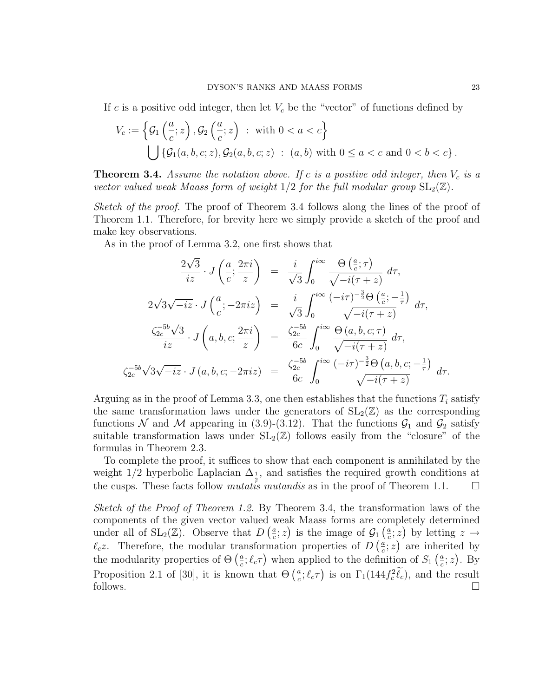If c is a positive odd integer, then let  $V_c$  be the "vector" of functions defined by

$$
V_c := \left\{ \mathcal{G}_1\left(\frac{a}{c}; z\right), \mathcal{G}_2\left(\frac{a}{c}; z\right) : \text{ with } 0 < a < c \right\}
$$
  

$$
\bigcup \left\{ \mathcal{G}_1(a, b, c; z), \mathcal{G}_2(a, b, c; z) : (a, b) \text{ with } 0 \le a < c \text{ and } 0 < b < c \right\}.
$$

**Theorem 3.4.** Assume the notation above. If c is a positive odd integer, then  $V_c$  is a vector valued weak Maass form of weight  $1/2$  for the full modular group  $SL_2(\mathbb{Z})$ .

Sketch of the proof. The proof of Theorem 3.4 follows along the lines of the proof of Theorem 1.1. Therefore, for brevity here we simply provide a sketch of the proof and make key observations.

As in the proof of Lemma 3.2, one first shows that

$$
\frac{2\sqrt{3}}{iz} \cdot J\left(\frac{a}{c}; \frac{2\pi i}{z}\right) = \frac{i}{\sqrt{3}} \int_0^{i\infty} \frac{\Theta\left(\frac{a}{c}; \tau\right)}{\sqrt{-i(\tau + z)}} d\tau,
$$
  
\n
$$
2\sqrt{3}\sqrt{-iz} \cdot J\left(\frac{a}{c}; -2\pi iz\right) = \frac{i}{\sqrt{3}} \int_0^{i\infty} \frac{(-i\tau)^{-\frac{3}{2}}\Theta\left(\frac{a}{c}; -\frac{1}{\tau}\right)}{\sqrt{-i(\tau + z)}} d\tau,
$$
  
\n
$$
\frac{\zeta_{2c}^{-5b}\sqrt{3}}{iz} \cdot J\left(a, b, c; \frac{2\pi i}{z}\right) = \frac{\zeta_{2c}^{-5b}}{6c} \int_0^{i\infty} \frac{\Theta\left(a, b, c; \tau\right)}{\sqrt{-i(\tau + z)}} d\tau,
$$
  
\n
$$
\zeta_{2c}^{-5b}\sqrt{3}\sqrt{-iz} \cdot J\left(a, b, c; -2\pi iz\right) = \frac{\zeta_{2c}^{-5b}}{6c} \int_0^{i\infty} \frac{(-i\tau)^{-\frac{3}{2}}\Theta\left(a, b, c; -\frac{1}{\tau}\right)}{\sqrt{-i(\tau + z)}} d\tau.
$$

Arguing as in the proof of Lemma 3.3, one then establishes that the functions  $T_i$  satisfy the same transformation laws under the generators of  $SL_2(\mathbb{Z})$  as the corresponding functions N and M appearing in (3.9)-(3.12). That the functions  $\mathcal{G}_1$  and  $\mathcal{G}_2$  satisfy suitable transformation laws under  $SL_2(\mathbb{Z})$  follows easily from the "closure" of the formulas in Theorem 2.3.

To complete the proof, it suffices to show that each component is annihilated by the weight 1/2 hyperbolic Laplacian  $\Delta_{\frac{1}{2}}$ , and satisfies the required growth conditions at the cusps. These facts follow *mutatis mutandis* as in the proof of Theorem 1.1.  $\Box$ 

Sketch of the Proof of Theorem 1.2. By Theorem 3.4, the transformation laws of the components of the given vector valued weak Maass forms are completely determined under all of  $SL_2(\mathbb{Z})$ . Observe that  $D\left(\frac{a}{c}\right)$  $(\frac{a}{c}; z)$  is the image of  $\mathcal{G}_1(\frac{a}{c})$  $(\frac{a}{c}; z)$  by letting  $z \rightarrow$  $\ell_c$ z. Therefore, the modular transformation properties of D $\left(\frac{a}{c}\right)$  $(\frac{a}{c}; z)$  are inherited by the modularity properties of  $\Theta\left(\frac{a}{c}\right)$  $\frac{a}{c}$ ;  $\ell_c \tau$ ) when applied to the definition of  $S_1$  ( $\frac{a}{c}$ )  $\frac{a}{c}$ ; z). By Proposition 2.1 of [30], it is known that  $\Theta\left(\frac{a}{c}\right)$  $(\frac{a}{c}; \ell_c \tau)$  is on  $\Gamma_1(144 f_c^2 \ell_c)$ , and the result follows.  $\square$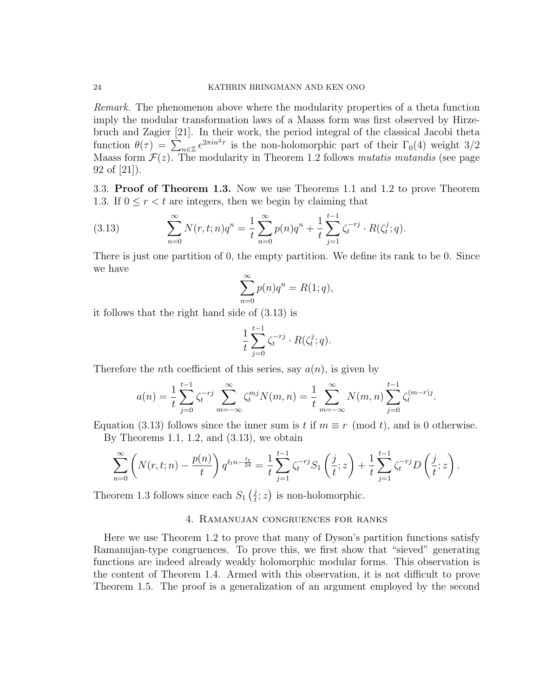Remark. The phenomenon above where the modularity properties of a theta function imply the modular transformation laws of a Maass form was first observed by Hirzebruch and Zagier [21]. In their work, the period integral of the classical Jacobi theta function  $\theta(\tau) = \sum_{n \in \mathbb{Z}} e^{2\pi i n^2 \tau}$  is the non-holomorphic part of their  $\Gamma_0(4)$  weight 3/2 Maass form  $\mathcal{F}(z)$ . The modularity in Theorem 1.2 follows *mutatis mutandis* (see page 92 of [21]).

3.3. Proof of Theorem 1.3. Now we use Theorems 1.1 and 1.2 to prove Theorem 1.3. If  $0 \le r < t$  are integers, then we begin by claiming that

(3.13) 
$$
\sum_{n=0}^{\infty} N(r, t; n) q^n = \frac{1}{t} \sum_{n=0}^{\infty} p(n) q^n + \frac{1}{t} \sum_{j=1}^{t-1} \zeta_t^{-rj} \cdot R(\zeta_t^j; q).
$$

There is just one partition of 0, the empty partition. We define its rank to be 0. Since we have

$$
\sum_{n=0}^{\infty} p(n)q^n = R(1;q),
$$

it follows that the right hand side of (3.13) is

$$
\frac{1}{t}\sum_{j=0}^{t-1}\zeta_t^{-rj}\cdot R(\zeta_t^j;q).
$$

Therefore the *n*th coefficient of this series, say  $a(n)$ , is given by

$$
a(n) = \frac{1}{t} \sum_{j=0}^{t-1} \zeta_i^{-rj} \sum_{m=-\infty}^{\infty} \zeta_i^{mj} N(m,n) = \frac{1}{t} \sum_{m=-\infty}^{\infty} N(m,n) \sum_{j=0}^{t-1} \zeta_i^{(m-r)j}.
$$

Equation (3.13) follows since the inner sum is t if  $m \equiv r \pmod{t}$ , and is 0 otherwise. By Theorems 1.1, 1.2, and  $(3.13)$ , we obtain

$$
\sum_{n=0}^{\infty} \left( N(r,t;n) - \frac{p(n)}{t} \right) q^{\ell+n-\frac{\ell_t}{24}} = \frac{1}{t} \sum_{j=1}^{t-1} \zeta_t^{-rj} S_1 \left( \frac{j}{t}; z \right) + \frac{1}{t} \sum_{j=1}^{t-1} \zeta_t^{-rj} D \left( \frac{j}{t}; z \right).
$$

Theorem 1.3 follows since each  $S_1\left(\frac{j}{t}\right)$  $(\frac{i}{t}; z)$  is non-holomorphic.

#### 4. Ramanujan congruences for ranks

Here we use Theorem 1.2 to prove that many of Dyson's partition functions satisfy Ramanujan-type congruences. To prove this, we first show that "sieved" generating functions are indeed already weakly holomorphic modular forms. This observation is the content of Theorem 1.4. Armed with this observation, it is not difficult to prove Theorem 1.5. The proof is a generalization of an argument employed by the second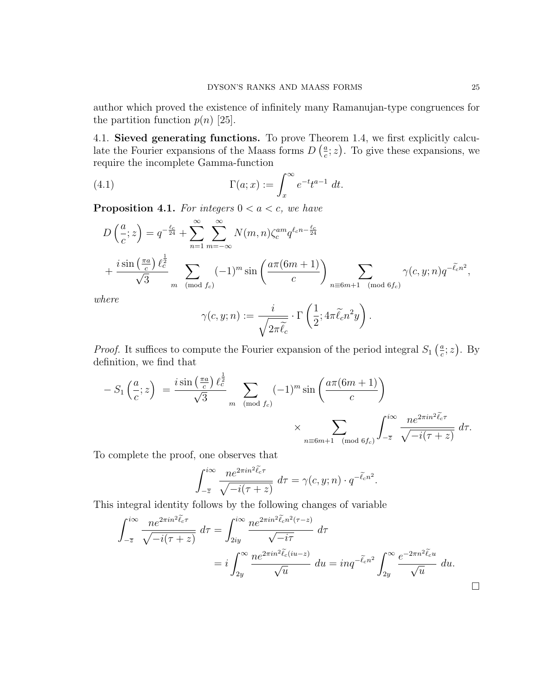author which proved the existence of infinitely many Ramanujan-type congruences for the partition function  $p(n)$  [25].

4.1. Sieved generating functions. To prove Theorem 1.4, we first explicitly calculate the Fourier expansions of the Maass forms  $D\left(\frac{a}{c}\right)$  $(\frac{a}{c}; z)$ . To give these expansions, we require the incomplete Gamma-function

(4.1) 
$$
\Gamma(a; x) := \int_x^{\infty} e^{-t} t^{a-1} dt.
$$

**Proposition 4.1.** For integers  $0 < a < c$ , we have

$$
D\left(\frac{a}{c};z\right) = q^{-\frac{\ell_c}{24}} + \sum_{n=1}^{\infty} \sum_{m=-\infty}^{\infty} N(m,n) \zeta_c^{am} q^{\ell_c n - \frac{\ell_c}{24}}
$$
  
+ 
$$
\frac{i \sin\left(\frac{\pi a}{c}\right) \ell_c^{\frac{1}{2}}}{\sqrt{3}} \sum_{m \pmod{f_c}} (-1)^m \sin\left(\frac{a\pi (6m+1)}{c}\right) \sum_{n \equiv 6m+1 \pmod{6f_c}} \gamma(c,y;n) q^{-\tilde{\ell}_c n^2},
$$

where

$$
\gamma(c, y; n) := \frac{i}{\sqrt{2\pi \tilde{\ell}_c}} \cdot \Gamma\left(\frac{1}{2}; 4\pi \tilde{\ell}_c n^2 y\right).
$$

*Proof.* It suffices to compute the Fourier expansion of the period integral  $S_1$   $(\frac{a}{c})$  $\frac{a}{c}$ ; z). By definition, we find that

$$
-S_1\left(\frac{a}{c};z\right) = \frac{i\sin\left(\frac{\pi a}{c}\right)\ell_c^{\frac{1}{2}}}{\sqrt{3}} \sum_{m \pmod{f_c}} (-1)^m \sin\left(\frac{a\pi (6m+1)}{c}\right)
$$

$$
\times \sum_{n \equiv 6m+1 \pmod{6f_c}} \int_{-\overline{z}}^{i\infty} \frac{ne^{2\pi i n^2 \tilde{\ell}_c \tau}}{\sqrt{-i(\tau+z)}} d\tau.
$$

To complete the proof, one observes that

$$
\int_{-\overline{z}}^{i\infty} \frac{n e^{2\pi i n^2 \tilde{\ell}_c \tau}}{\sqrt{-i(\tau + z)}} d\tau = \gamma(c, y; n) \cdot q^{-\tilde{\ell}_c n^2}.
$$

This integral identity follows by the following changes of variable

$$
\int_{-\overline{z}}^{i\infty} \frac{ne^{2\pi i n^2 \tilde{\ell}_{c} \tau}}{\sqrt{-i(\tau + z)}} d\tau = \int_{2iy}^{i\infty} \frac{ne^{2\pi i n^2 \tilde{\ell}_{c} n^2 (\tau - z)}}{\sqrt{-i\tau}} d\tau
$$
  
=  $i \int_{2y}^{\infty} \frac{ne^{2\pi i n^2 \tilde{\ell}_{c} (iu - z)}}{\sqrt{u}} du = inq^{-\tilde{\ell}_{c} n^2} \int_{2y}^{\infty} \frac{e^{-2\pi n^2 \tilde{\ell}_{c} u}}{\sqrt{u}} du.$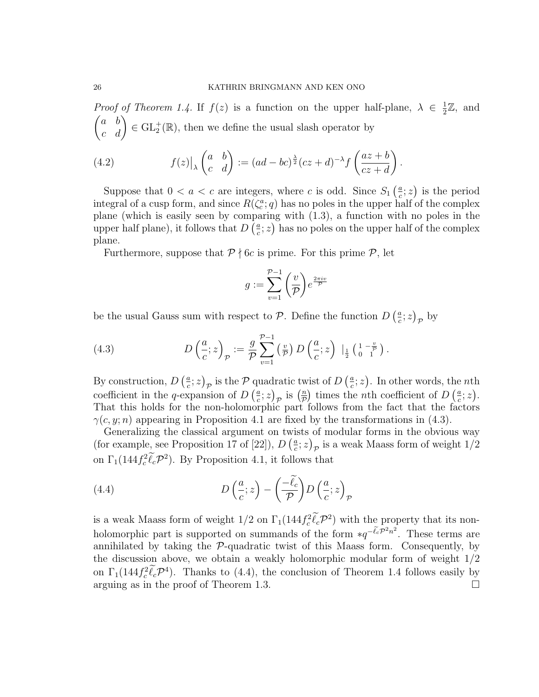*Proof of Theorem 1.4.* If  $f(z)$  is a function on the upper half-plane,  $\lambda \in \frac{1}{2}$  $\frac{1}{2}\mathbb{Z}$ , and  $\begin{pmatrix} a & b \\ c & d \end{pmatrix} \in \text{GL}_2^+(\mathbb{R})$ , then we define the usual slash operator by

(4.2) 
$$
f(z)|_{\lambda} \begin{pmatrix} a & b \ c & d \end{pmatrix} := (ad - bc)^{\frac{\lambda}{2}}(cz + d)^{-\lambda} f\left(\frac{az + b}{cz + d}\right).
$$

Suppose that  $0 < a < c$  are integers, where c is odd. Since  $S_1\left(\frac{a}{c}\right)$  $(\frac{a}{c}; z)$  is the period integral of a cusp form, and since  $R(\zeta_c^a; q)$  has no poles in the upper half of the complex plane (which is easily seen by comparing with (1.3), a function with no poles in the upper half plane), it follows that  $D\left(\frac{a}{c}\right)$  $(\frac{a}{c}; z)$  has no poles on the upper half of the complex plane.

Furthermore, suppose that  $P \nmid 6c$  is prime. For this prime  $P$ , let

$$
g:=\sum_{v=1}^{\mathcal{P}-1}\bigg(\frac{v}{\mathcal{P}}\bigg)e^{\frac{2\pi i v}{\mathcal{P}}}
$$

be the usual Gauss sum with respect to P. Define the function  $D\left(\frac{a}{c}\right)$  $(\frac{a}{c}; z)_p$  by

(4.3) 
$$
D\left(\frac{a}{c};z\right)_{\mathcal{P}} := \frac{g}{\mathcal{P}} \sum_{v=1}^{\mathcal{P}-1} \left(\frac{v}{\mathcal{P}}\right) D\left(\frac{a}{c};z\right) \Big|_{\frac{1}{2}} \left(\frac{1-\frac{v}{\mathcal{P}}}{1}\right).
$$

By construction,  $D\left(\frac{a}{c}\right)$  $\left(\frac{a}{c};z\right)_{\mathcal{P}}$  is the  $\mathcal P$  quadratic twist of  $D\left(\frac{a}{c}\right)$  $(\frac{a}{c}; z)$ . In other words, the *n*th coefficient in the q-expansion of  $D\left(\frac{a}{c}\right)$  $(\frac{a}{c}; z)_p$  is  $(\frac{n}{p})$  $\frac{n}{\mathcal{P}}$  times the *n*th coefficient of  $D\left(\frac{a}{c}\right)$  $\frac{a}{c};z$ ). That this holds for the non-holomorphic part follows from the fact that the factors  $\gamma(c, y; n)$  appearing in Proposition 4.1 are fixed by the transformations in (4.3).

Generalizing the classical argument on twists of modular forms in the obvious way (for example, see Proposition 17 of [22]),  $D\left(\frac{a}{c}\right)$  $\left(\frac{a}{c};z\right)_P$  is a weak Maass form of weight  $1/2$ on  $\Gamma_1(144f_c^2\ell_c\mathcal{P}^2)$ . By Proposition 4.1, it follows that

(4.4) 
$$
D\left(\frac{a}{c};z\right) - \left(\frac{-\tilde{\ell}_c}{\mathcal{P}}\right)D\left(\frac{a}{c};z\right)_{\mathcal{P}}
$$

is a weak Maass form of weight  $1/2$  on  $\Gamma_1(144f_c^2\ell_c\mathcal{P}^2)$  with the property that its nonholomorphic part is supported on summands of the form  $\ast q^{-\tilde{\ell}_{c}P^{2}n^{2}}$ . These terms are annihilated by taking the  $P$ -quadratic twist of this Maass form. Consequently, by the discussion above, we obtain a weakly holomorphic modular form of weight 1/2 on  $\Gamma_1(144f_c^2\ell_c\mathcal{P}^4)$ . Thanks to (4.4), the conclusion of Theorem 1.4 follows easily by arguing as in the proof of Theorem 1.3.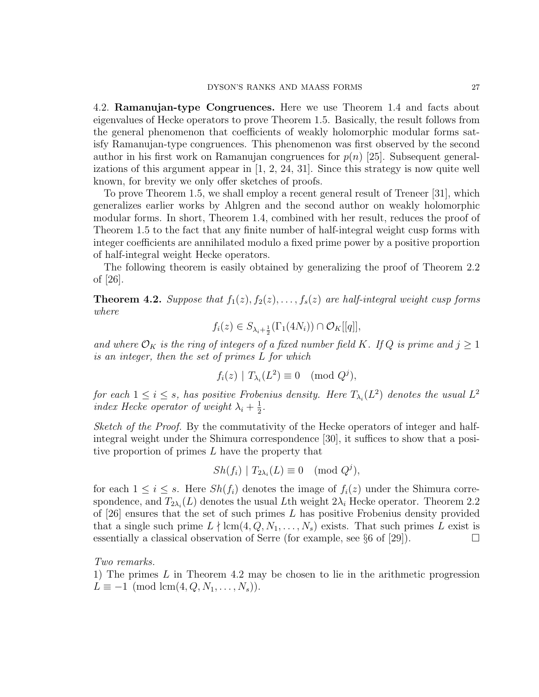4.2. Ramanujan-type Congruences. Here we use Theorem 1.4 and facts about eigenvalues of Hecke operators to prove Theorem 1.5. Basically, the result follows from the general phenomenon that coefficients of weakly holomorphic modular forms satisfy Ramanujan-type congruences. This phenomenon was first observed by the second author in his first work on Ramanujan congruences for  $p(n)$  [25]. Subsequent generalizations of this argument appear in  $[1, 2, 24, 31]$ . Since this strategy is now quite well known, for brevity we only offer sketches of proofs.

To prove Theorem 1.5, we shall employ a recent general result of Treneer [31], which generalizes earlier works by Ahlgren and the second author on weakly holomorphic modular forms. In short, Theorem 1.4, combined with her result, reduces the proof of Theorem 1.5 to the fact that any finite number of half-integral weight cusp forms with integer coefficients are annihilated modulo a fixed prime power by a positive proportion of half-integral weight Hecke operators.

The following theorem is easily obtained by generalizing the proof of Theorem 2.2 of [26].

**Theorem 4.2.** Suppose that  $f_1(z), f_2(z), \ldots, f_s(z)$  are half-integral weight cusp forms where

$$
f_i(z) \in S_{\lambda_i + \frac{1}{2}}(\Gamma_1(4N_i)) \cap \mathcal{O}_K[[q]],
$$

and where  $\mathcal{O}_K$  is the ring of integers of a fixed number field K. If Q is prime and  $j \geq 1$ is an integer, then the set of primes L for which

$$
f_i(z) | T_{\lambda_i}(L^2) \equiv 0 \pmod{Q^j},
$$

for each  $1 \leq i \leq s$ , has positive Frobenius density. Here  $T_{\lambda_i}(L^2)$  denotes the usual  $L^2$ index Hecke operator of weight  $\lambda_i + \frac{1}{2}$  $\frac{1}{2}$ .

Sketch of the Proof. By the commutativity of the Hecke operators of integer and halfintegral weight under the Shimura correspondence [30], it suffices to show that a positive proportion of primes L have the property that

$$
Sh(f_i) | T_{2\lambda_i}(L) \equiv 0 \pmod{Q^j},
$$

for each  $1 \leq i \leq s$ . Here  $Sh(f_i)$  denotes the image of  $f_i(z)$  under the Shimura correspondence, and  $T_{2\lambda_i}(L)$  denotes the usual Lth weight  $2\lambda_i$  Hecke operator. Theorem 2.2 of  $[26]$  ensures that the set of such primes L has positive Frobenius density provided that a single such prime  $L \nmid \text{lcm}(4, Q, N_1, \ldots, N_s)$  exists. That such primes L exist is essentially a classical observation of Serre (for example, see §6 of [29]).

Two remarks.

1) The primes  $L$  in Theorem 4.2 may be chosen to lie in the arithmetic progression  $L \equiv -1 \pmod{\text{lcm}(4, Q, N_1, \ldots, N_s)}$ .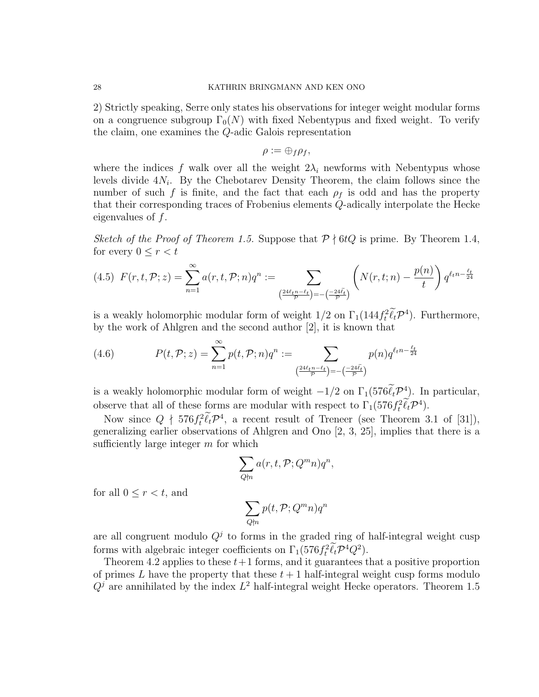#### 28 KATHRIN BRINGMANN AND KEN ONO

2) Strictly speaking, Serre only states his observations for integer weight modular forms on a congruence subgroup  $\Gamma_0(N)$  with fixed Nebentypus and fixed weight. To verify the claim, one examines the Q-adic Galois representation

$$
\rho := \oplus_f \rho_f,
$$

where the indices f walk over all the weight  $2\lambda_i$  newforms with Nebentypus whose levels divide  $4N_i$ . By the Chebotarev Density Theorem, the claim follows since the number of such f is finite, and the fact that each  $\rho_f$  is odd and has the property that their corresponding traces of Frobenius elements Q-adically interpolate the Hecke eigenvalues of  $f$ .

Sketch of the Proof of Theorem 1.5. Suppose that  $P \nmid 6tQ$  is prime. By Theorem 1.4, for every  $0 \leq r < t$ 

$$
(4.5) \ \ F(r,t,\mathcal{P};z) = \sum_{n=1}^{\infty} a(r,t,\mathcal{P};n) q^n := \sum_{\left(\frac{24\ell_t n - \ell_t}{\mathcal{P}}\right) = -\left(\frac{-24\tilde{\ell}_t}{\mathcal{P}}\right)} \left( N(r,t;n) - \frac{p(n)}{t} \right) q^{\ell_t n - \frac{\ell_t}{24}}
$$

is a weakly holomorphic modular form of weight  $1/2$  on  $\Gamma_1(144f_t^2\ell_t\mathcal{P}^4)$ . Furthermore, by the work of Ahlgren and the second author [2], it is known that

(4.6) 
$$
P(t, \mathcal{P}; z) = \sum_{n=1}^{\infty} p(t, \mathcal{P}; n) q^n := \sum_{\left(\frac{24\ell_t n - \ell_t}{\mathcal{P}}\right) = -\left(\frac{-24\tilde{\ell}_t}{\mathcal{P}}\right)} p(n) q^{\ell_t n - \frac{\ell_t}{24}}
$$

is a weakly holomorphic modular form of weight  $-1/2$  on  $\Gamma_1(576\ell_t\mathcal{P}^4)$ . In particular, observe that all of these forms are modular with respect to  $\Gamma_1(576 f_t^2 \ell_t \mathcal{P}^4)$ .

Now since  $Q \nmid 576f_t^2 \widetilde{\ell}_t \mathcal{P}^4$ , a recent result of Treneer (see Theorem 3.1 of [31]), generalizing earlier observations of Ahlgren and Ono [2, 3, 25], implies that there is a sufficiently large integer  $m$  for which

$$
\sum_{Q \nmid n} a(r, t, \mathcal{P}; Q^m n) q^n,
$$

for all  $0 \leq r < t$ , and

$$
\sum_{Q\nmid n} p(t, \mathcal{P}; Q^m n) q^n
$$

are all congruent modulo  $Q<sup>j</sup>$  to forms in the graded ring of half-integral weight cusp forms with algebraic integer coefficients on  $\Gamma_1(576f_t^2\ell_t\mathcal{P}^4Q^2)$ .

Theorem 4.2 applies to these  $t+1$  forms, and it guarantees that a positive proportion of primes L have the property that these  $t + 1$  half-integral weight cusp forms modulo  $Q<sup>j</sup>$  are annihilated by the index  $L<sup>2</sup>$  half-integral weight Hecke operators. Theorem 1.5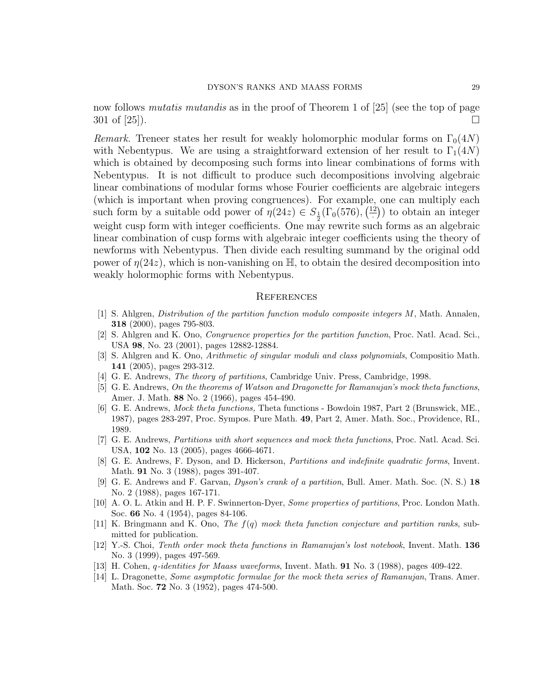now follows *mutatis mutandis* as in the proof of Theorem 1 of [25] (see the top of page  $301$  of [25]).

*Remark.* Treneer states her result for weakly holomorphic modular forms on  $\Gamma_0(4N)$ with Nebentypus. We are using a straightforward extension of her result to  $\Gamma_1(4N)$ which is obtained by decomposing such forms into linear combinations of forms with Nebentypus. It is not difficult to produce such decompositions involving algebraic linear combinations of modular forms whose Fourier coefficients are algebraic integers (which is important when proving congruences). For example, one can multiply each such form by a suitable odd power of  $\eta(24z) \in S_{\frac{1}{2}}(\Gamma_0(576), \frac{12}{100})$  $\left(\frac{2}{x}\right)$  to obtain an integer weight cusp form with integer coefficients. One may rewrite such forms as an algebraic linear combination of cusp forms with algebraic integer coefficients using the theory of newforms with Nebentypus. Then divide each resulting summand by the original odd power of  $\eta(24z)$ , which is non-vanishing on H, to obtain the desired decomposition into weakly holormophic forms with Nebentypus.

#### **REFERENCES**

- [1] S. Ahlgren, Distribution of the partition function modulo composite integers M, Math. Annalen, 318 (2000), pages 795-803.
- [2] S. Ahlgren and K. Ono, Congruence properties for the partition function, Proc. Natl. Acad. Sci., USA 98, No. 23 (2001), pages 12882-12884.
- [3] S. Ahlgren and K. Ono, Arithmetic of singular moduli and class polynomials, Compositio Math. 141 (2005), pages 293-312.
- [4] G. E. Andrews, The theory of partitions, Cambridge Univ. Press, Cambridge, 1998.
- [5] G. E. Andrews, On the theorems of Watson and Dragonette for Ramanujan's mock theta functions, Amer. J. Math. 88 No. 2 (1966), pages 454-490.
- [6] G. E. Andrews, Mock theta functions, Theta functions Bowdoin 1987, Part 2 (Brunswick, ME., 1987), pages 283-297, Proc. Sympos. Pure Math. 49, Part 2, Amer. Math. Soc., Providence, RI., 1989.
- [7] G. E. Andrews, Partitions with short sequences and mock theta functions, Proc. Natl. Acad. Sci. USA, 102 No. 13 (2005), pages 4666-4671.
- [8] G. E. Andrews, F. Dyson, and D. Hickerson, Partitions and indefinite quadratic forms, Invent. Math. 91 No. 3 (1988), pages 391-407.
- [9] G. E. Andrews and F. Garvan, Dyson's crank of a partition, Bull. Amer. Math. Soc. (N. S.) 18 No. 2 (1988), pages 167-171.
- [10] A. O. L. Atkin and H. P. F. Swinnerton-Dyer, Some properties of partitions, Proc. London Math. Soc. 66 No. 4 (1954), pages 84-106.
- [11] K. Bringmann and K. Ono, The  $f(q)$  mock theta function conjecture and partition ranks, submitted for publication.
- [12] Y.-S. Choi, Tenth order mock theta functions in Ramanujan's lost notebook, Invent. Math. 136 No. 3 (1999), pages 497-569.
- [13] H. Cohen, *q-identities for Maass waveforms*, Invent. Math. **91** No. 3 (1988), pages 409-422.
- [14] L. Dragonette, Some asymptotic formulae for the mock theta series of Ramanujan, Trans. Amer. Math. Soc. 72 No. 3 (1952), pages 474-500.